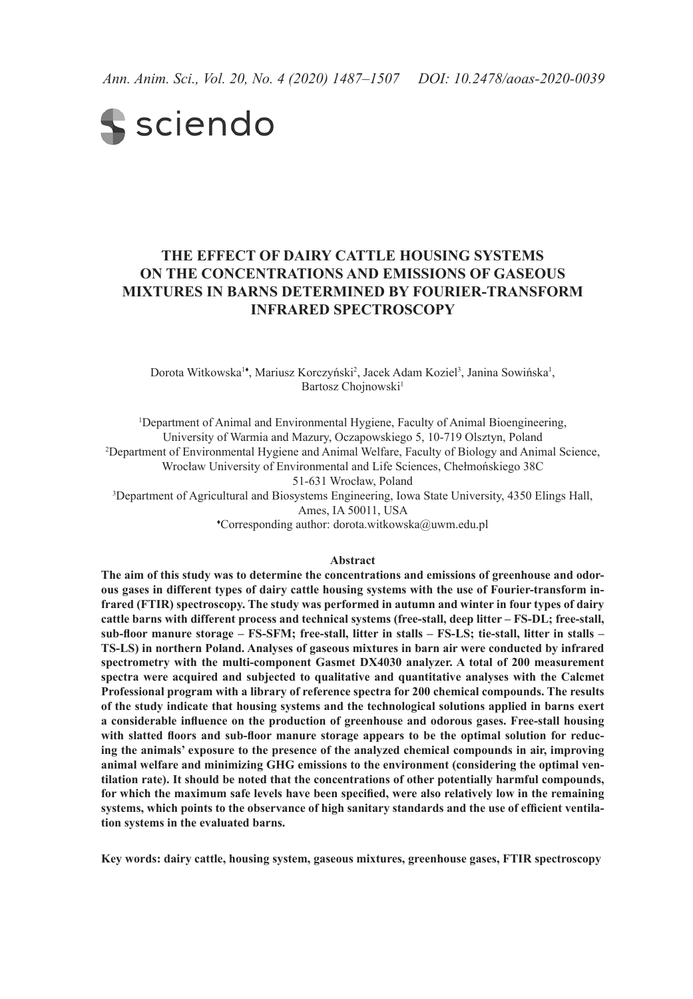*Ann. Anim. Sci., Vol. 20, No. 4 (2020) 1487–1507 DOI: 10.2478/aoas-2020-0039*

# **S** sciendo

## **The effect of dairy cattle housing systems on the concentrations and emissions of gaseous mixtures in barns determined by Fourier-transform infrared spectroscopy**

Dorota Witkowska<sup>1</sup>, Mariusz Korczyński<sup>2</sup>, Jacek Adam Koziel<sup>3</sup>, Janina Sowińska<sup>1</sup>, Bartosz Choinowski<sup>1</sup>

<sup>1</sup>Department of Animal and Environmental Hygiene, Faculty of Animal Bioengineering, University of Warmia and Mazury, Oczapowskiego 5, 10-719 Olsztyn, Poland 2 Department of Environmental Hygiene and Animal Welfare, Faculty of Biology and Animal Science, Wrocław University of Environmental and Life Sciences, Chełmońskiego 38C 51-631 Wrocław, Poland 3 Department of Agricultural and Biosystems Engineering, Iowa State University, 4350 Elings Hall, Ames, IA 50011, USA

♦ Corresponding author: dorota.witkowska@uwm.edu.pl

#### **Abstract**

**The aim of this study was to determine the concentrations and emissions of greenhouse and odorous gases in different types of dairy cattle housing systems with the use of Fourier-transform infrared (FTIR) spectroscopy. The study was performed in autumn and winter in four types of dairy cattle barns with different process and technical systems (free-stall, deep litter – FS-DL; free-stall, sub-floor manure storage – FS-SFM; free-stall, litter in stalls – FS-LS; tie-stall, litter in stalls – TS-LS) in northern Poland. Analyses of gaseous mixtures in barn air were conducted by infrared spectrometry with the multi-component Gasmet DX4030 analyzer. A total of 200 measurement spectra were acquired and subjected to qualitative and quantitative analyses with the Calcmet Professional program with a library of reference spectra for 200 chemical compounds. The results of the study indicate that housing systems and the technological solutions applied in barns exert a considerable influence on the production of greenhouse and odorous gases. Free-stall housing with slatted floors and sub-floor manure storage appears to be the optimal solution for reducing the animals' exposure to the presence of the analyzed chemical compounds in air, improving animal welfare and minimizing GHG emissions to the environment (considering the optimal ventilation rate). It should be noted that the concentrations of other potentially harmful compounds, for which the maximum safe levels have been specified, were also relatively low in the remaining systems, which points to the observance of high sanitary standards and the use of efficient ventilation systems in the evaluated barns.** 

**Key words: dairy cattle, housing system, gaseous mixtures, greenhouse gases, FTIR spectroscopy**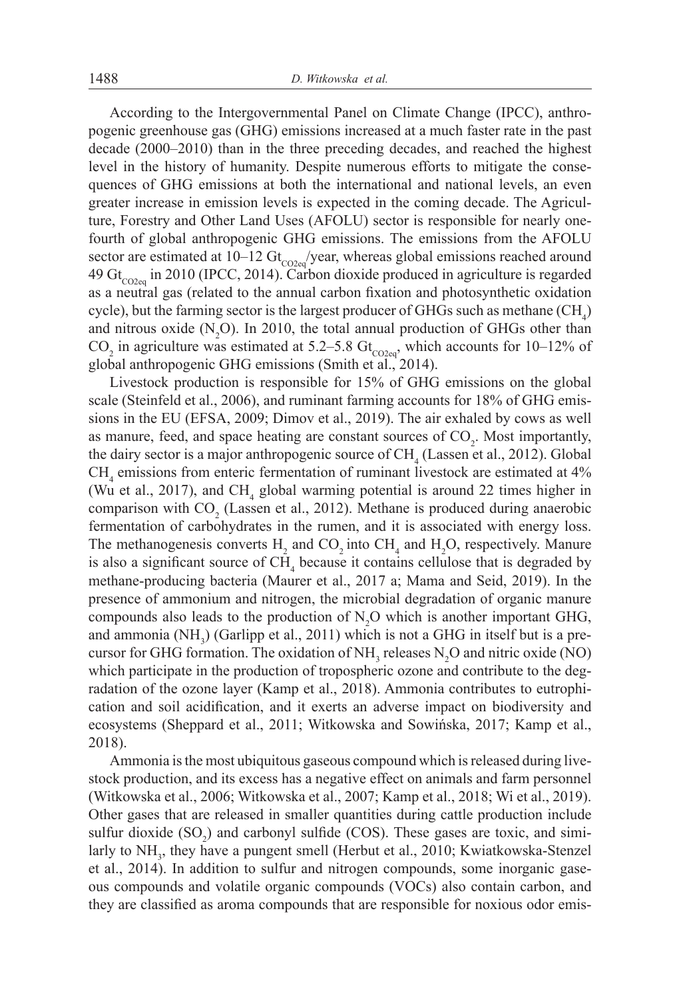According to the Intergovernmental Panel on Climate Change (IPCC), anthropogenic greenhouse gas (GHG) emissions increased at a much faster rate in the past decade (2000–2010) than in the three preceding decades, and reached the highest level in the history of humanity. Despite numerous efforts to mitigate the consequences of GHG emissions at both the international and national levels, an even greater increase in emission levels is expected in the coming decade. The Agriculture, Forestry and Other Land Uses (AFOLU) sector is responsible for nearly onefourth of global anthropogenic GHG emissions. The emissions from the AFOLU sector are estimated at 10–12  $\text{Gt}_{\text{CO2e}}$ /year, whereas global emissions reached around 49 Gt<sub>co2eq</sub> in 2010 (IPCC, 2014). Carbon dioxide produced in agriculture is regarded as a neutral gas (related to the annual carbon fixation and photosynthetic oxidation cycle), but the farming sector is the largest producer of GHGs such as methane  $(\text{CH}_4)$ and nitrous oxide  $(N_2O)$ . In 2010, the total annual production of GHGs other than CO<sub>2</sub> in agriculture was estimated at 5.2–5.8 Gt<sub>co2eq</sub>, which accounts for 10–12% of global anthropogenic GHG emissions (Smith et al., 2014).

Livestock production is responsible for 15% of GHG emissions on the global scale (Steinfeld et al., 2006), and ruminant farming accounts for 18% of GHG emissions in the EU (EFSA, 2009; Dimov et al., 2019). The air exhaled by cows as well as manure, feed, and space heating are constant sources of  $CO<sub>2</sub>$ . Most importantly, the dairy sector is a major anthropogenic source of  $CH_4$  (Lassen et al., 2012). Global  $CH<sub>4</sub>$  emissions from enteric fermentation of ruminant livestock are estimated at  $4\%$ (Wu et al., 2017), and  $CH_4$  global warming potential is around 22 times higher in comparison with  $CO<sub>2</sub>$  (Lassen et al., 2012). Methane is produced during anaerobic fermentation of carbohydrates in the rumen, and it is associated with energy loss. The methanogenesis converts  $H_2$  and  $CO_2$  into  $CH_4$  and  $H_2O$ , respectively. Manure is also a significant source of  $CH_4$  because it contains cellulose that is degraded by methane-producing bacteria (Maurer et al., 2017 a; Mama and Seid, 2019). In the presence of ammonium and nitrogen, the microbial degradation of organic manure compounds also leads to the production of  $N_2O$  which is another important GHG, and ammonia  $(NH_3)$  (Garlipp et al., 2011) which is not a GHG in itself but is a precursor for GHG formation. The oxidation of  $NH<sub>3</sub>$  releases  $N<sub>2</sub>O$  and nitric oxide (NO) which participate in the production of tropospheric ozone and contribute to the degradation of the ozone layer (Kamp et al., 2018). Ammonia contributes to eutrophication and soil acidification, and it exerts an adverse impact on biodiversity and ecosystems (Sheppard et al., 2011; Witkowska and Sowińska, 2017; Kamp et al., 2018).

Ammonia is the most ubiquitous gaseous compound which is released during livestock production, and its excess has a negative effect on animals and farm personnel (Witkowska et al., 2006; Witkowska et al., 2007; Kamp et al., 2018; Wi et al., 2019). Other gases that are released in smaller quantities during cattle production include sulfur dioxide  $(SO_2)$  and carbonyl sulfide  $(COS)$ . These gases are toxic, and similarly to NH<sub>3</sub>, they have a pungent smell (Herbut et al., 2010; Kwiatkowska-Stenzel et al., 2014). In addition to sulfur and nitrogen compounds, some inorganic gaseous compounds and volatile organic compounds (VOCs) also contain carbon, and they are classified as aroma compounds that are responsible for noxious odor emis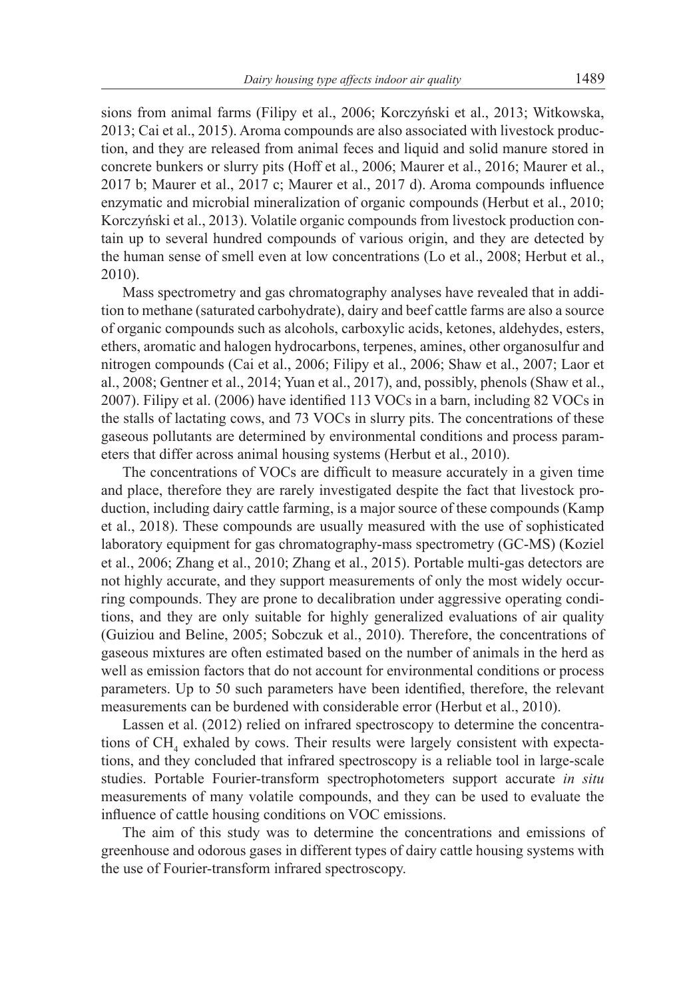sions from animal farms (Filipy et al., 2006; Korczyński et al., 2013; Witkowska, 2013; Cai et al., 2015). Aroma compounds are also associated with livestock production, and they are released from animal feces and liquid and solid manure stored in concrete bunkers or slurry pits (Hoff et al., 2006; Maurer et al., 2016; Maurer et al., 2017 b; Maurer et al., 2017 c; Maurer et al., 2017 d). Aroma compounds influence enzymatic and microbial mineralization of organic compounds (Herbut et al., 2010; Korczyński et al., 2013). Volatile organic compounds from livestock production contain up to several hundred compounds of various origin, and they are detected by the human sense of smell even at low concentrations (Lo et al., 2008; Herbut et al., 2010).

Mass spectrometry and gas chromatography analyses have revealed that in addition to methane (saturated carbohydrate), dairy and beef cattle farms are also a source of organic compounds such as alcohols, carboxylic acids, ketones, aldehydes, esters, ethers, aromatic and halogen hydrocarbons, terpenes, amines, other organosulfur and nitrogen compounds (Cai et al., 2006; Filipy et al., 2006; Shaw et al., 2007; Laor et al., 2008; Gentner et al., 2014; Yuan et al., 2017), and, possibly, phenols (Shaw et al., 2007). Filipy et al. (2006) have identified 113 VOCs in a barn, including 82 VOCs in the stalls of lactating cows, and 73 VOCs in slurry pits. The concentrations of these gaseous pollutants are determined by environmental conditions and process parameters that differ across animal housing systems (Herbut et al., 2010).

The concentrations of VOCs are difficult to measure accurately in a given time and place, therefore they are rarely investigated despite the fact that livestock production, including dairy cattle farming, is a major source of these compounds (Kamp et al., 2018). These compounds are usually measured with the use of sophisticated laboratory equipment for gas chromatography-mass spectrometry (GC-MS) (Koziel et al., 2006; Zhang et al., 2010; Zhang et al., 2015). Portable multi-gas detectors are not highly accurate, and they support measurements of only the most widely occurring compounds. They are prone to decalibration under aggressive operating conditions, and they are only suitable for highly generalized evaluations of air quality (Guiziou and Beline, 2005; Sobczuk et al., 2010). Therefore, the concentrations of gaseous mixtures are often estimated based on the number of animals in the herd as well as emission factors that do not account for environmental conditions or process parameters. Up to 50 such parameters have been identified, therefore, the relevant measurements can be burdened with considerable error (Herbut et al., 2010).

Lassen et al. (2012) relied on infrared spectroscopy to determine the concentrations of  $\text{CH}_4$  exhaled by cows. Their results were largely consistent with expectations, and they concluded that infrared spectroscopy is a reliable tool in large-scale studies. Portable Fourier-transform spectrophotometers support accurate *in situ* measurements of many volatile compounds, and they can be used to evaluate the influence of cattle housing conditions on VOC emissions.

The aim of this study was to determine the concentrations and emissions of greenhouse and odorous gases in different types of dairy cattle housing systems with the use of Fourier-transform infrared spectroscopy.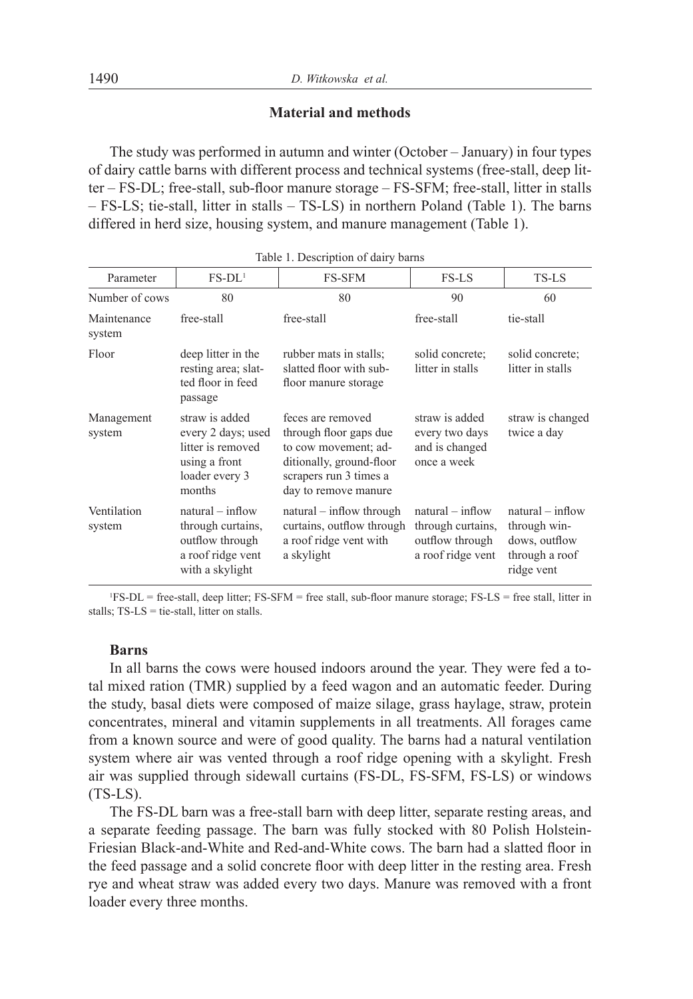## **Material and methods**

The study was performed in autumn and winter (October – January) in four types of dairy cattle barns with different process and technical systems (free-stall, deep litter – FS-DL; free-stall, sub-floor manure storage – FS-SFM; free-stall, litter in stalls – FS-LS; tie-stall, litter in stalls – TS-LS) in northern Poland (Table 1). The barns differed in herd size, housing system, and manure management (Table 1).

| Parameter             | $FS-DL1$                                                                                               | <b>FS-SFM</b>                                                                                                                                     | FS-LS                                                                           | TS-LS                                                                               |
|-----------------------|--------------------------------------------------------------------------------------------------------|---------------------------------------------------------------------------------------------------------------------------------------------------|---------------------------------------------------------------------------------|-------------------------------------------------------------------------------------|
| Number of cows        | 80                                                                                                     | 80                                                                                                                                                | 90                                                                              | 60                                                                                  |
| Maintenance<br>system | free-stall                                                                                             | free-stall                                                                                                                                        | free-stall                                                                      | tie-stall                                                                           |
| Floor                 | deep litter in the<br>resting area; slat-<br>ted floor in feed<br>passage                              | rubber mats in stalls;<br>slatted floor with sub-<br>floor manure storage                                                                         | solid concrete:<br>litter in stalls                                             | solid concrete:<br>litter in stalls                                                 |
| Management<br>system  | straw is added<br>every 2 days; used<br>litter is removed<br>using a front<br>loader every 3<br>months | feces are removed<br>through floor gaps due<br>to cow movement; ad-<br>ditionally, ground-floor<br>scrapers run 3 times a<br>day to remove manure | straw is added<br>every two days<br>and is changed<br>once a week               | straw is changed<br>twice a day                                                     |
| Ventilation<br>system | $natural - inflow$<br>through curtains,<br>outflow through<br>a roof ridge vent<br>with a skylight     | $natural - inflow through$<br>curtains, outflow through<br>a roof ridge vent with<br>a skylight                                                   | $natural - inflow$<br>through curtains,<br>outflow through<br>a roof ridge vent | $natural - inflow$<br>through win-<br>dows, outflow<br>through a roof<br>ridge vent |

|  | Table 1. Description of dairy barns |  |  |
|--|-------------------------------------|--|--|
|--|-------------------------------------|--|--|

1 FS-DL = free-stall, deep litter; FS-SFM = free stall, sub-floor manure storage; FS-LS = free stall, litter in stalls; TS-LS = tie-stall, litter on stalls.

#### **Barns**

In all barns the cows were housed indoors around the year. They were fed a total mixed ration (TMR) supplied by a feed wagon and an automatic feeder. During the study, basal diets were composed of maize silage, grass haylage, straw, protein concentrates, mineral and vitamin supplements in all treatments. All forages came from a known source and were of good quality. The barns had a natural ventilation system where air was vented through a roof ridge opening with a skylight. Fresh air was supplied through sidewall curtains (FS-DL, FS-SFM, FS-LS) or windows  $(TS-LS)$ .

The FS-DL barn was a free-stall barn with deep litter, separate resting areas, and a separate feeding passage. The barn was fully stocked with 80 Polish Holstein-Friesian Black-and-White and Red-and-White cows. The barn had a slatted floor in the feed passage and a solid concrete floor with deep litter in the resting area. Fresh rye and wheat straw was added every two days. Manure was removed with a front loader every three months.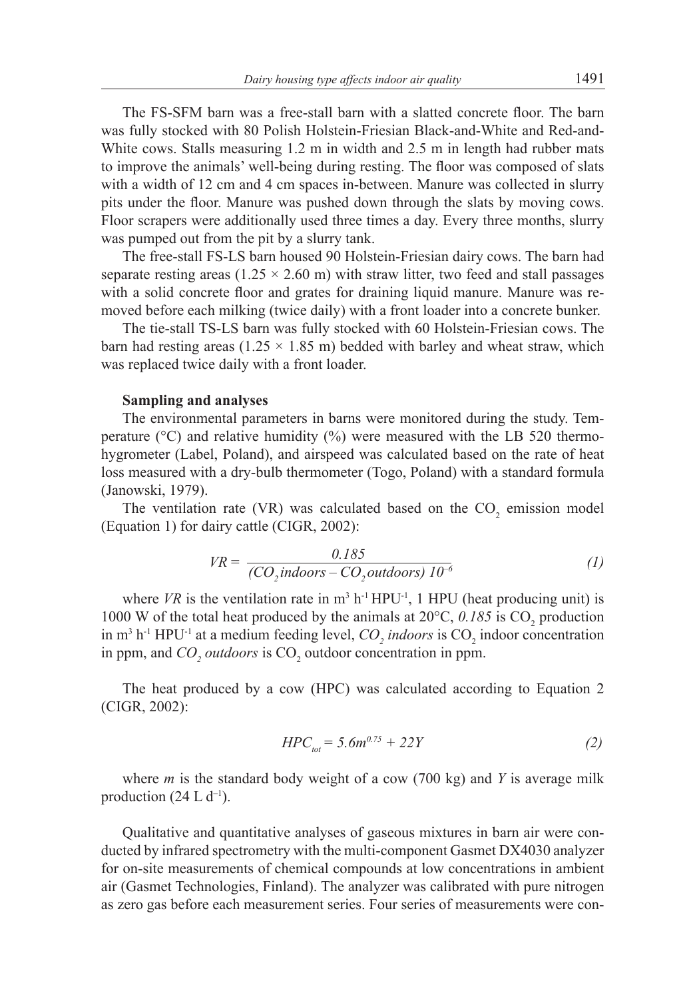The FS-SFM barn was a free-stall barn with a slatted concrete floor. The barn was fully stocked with 80 Polish Holstein-Friesian Black-and-White and Red-and-White cows. Stalls measuring 1.2 m in width and 2.5 m in length had rubber mats to improve the animals' well-being during resting. The floor was composed of slats with a width of 12 cm and 4 cm spaces in-between. Manure was collected in slurry pits under the floor. Manure was pushed down through the slats by moving cows. Floor scrapers were additionally used three times a day. Every three months, slurry was pumped out from the pit by a slurry tank.

The free-stall FS-LS barn housed 90 Holstein-Friesian dairy cows. The barn had separate resting areas (1.25  $\times$  2.60 m) with straw litter, two feed and stall passages with a solid concrete floor and grates for draining liquid manure. Manure was removed before each milking (twice daily) with a front loader into a concrete bunker.

The tie-stall TS-LS barn was fully stocked with 60 Holstein-Friesian cows. The barn had resting areas  $(1.25 \times 1.85 \text{ m})$  bedded with barley and wheat straw, which was replaced twice daily with a front loader.

#### **Sampling and analyses**

The environmental parameters in barns were monitored during the study. Temperature ( $^{\circ}$ C) and relative humidity ( $^{\circ}$ ) were measured with the LB 520 thermohygrometer (Label, Poland), and airspeed was calculated based on the rate of heat loss measured with a dry-bulb thermometer (Togo, Poland) with a standard formula (Janowski, 1979).

The ventilation rate (VR) was calculated based on the  $CO_2$  emission model (Equation 1) for dairy cattle (CIGR, 2002):

$$
VR = \frac{0.185}{(CO_2 in doors - CO_2 out doors) 10^{-6}}
$$
 (1)

where *VR* is the ventilation rate in  $m^3$  h<sup>-1</sup> HPU<sup>-1</sup>, 1 HPU (heat producing unit) is 1000 W of the total heat produced by the animals at  $20^{\circ}$ C, 0.185 is CO<sub>2</sub> production in  $m^3$  h<sup>-1</sup> HPU<sup>-1</sup> at a medium feeding level,  $CO_2$  *indoors* is  $CO_2$  indoor concentration in ppm, and  $CO<sub>2</sub> outdoors$  is  $CO<sub>2</sub> outdoor$  concentration in ppm.

The heat produced by a cow (HPC) was calculated according to Equation 2 (CIGR, 2002):

$$
HPC_{tot} = 5.6m^{0.75} + 22Y \tag{2}
$$

where *m* is the standard body weight of a cow (700 kg) and *Y* is average milk production  $(24 \text{ L d}^{-1})$ .

Qualitative and quantitative analyses of gaseous mixtures in barn air were conducted by infrared spectrometry with the multi-component Gasmet DX4030 analyzer for on-site measurements of chemical compounds at low concentrations in ambient air (Gasmet Technologies, Finland). The analyzer was calibrated with pure nitrogen as zero gas before each measurement series. Four series of measurements were con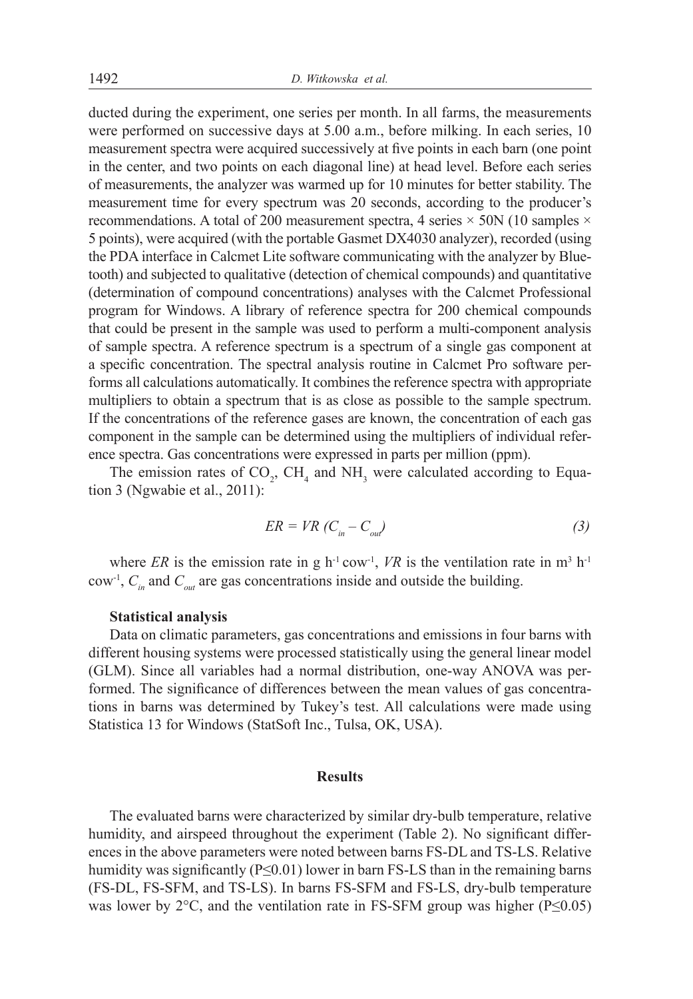ducted during the experiment, one series per month. In all farms, the measurements were performed on successive days at 5.00 a.m., before milking. In each series, 10 measurement spectra were acquired successively at five points in each barn (one point in the center, and two points on each diagonal line) at head level. Before each series of measurements, the analyzer was warmed up for 10 minutes for better stability. The measurement time for every spectrum was 20 seconds, according to the producer's recommendations. A total of 200 measurement spectra, 4 series  $\times$  50N (10 samples  $\times$ 5 points), were acquired (with the portable Gasmet DX4030 analyzer), recorded (using the PDA interface in Calcmet Lite software communicating with the analyzer by Bluetooth) and subjected to qualitative (detection of chemical compounds) and quantitative (determination of compound concentrations) analyses with the Calcmet Professional program for Windows. A library of reference spectra for 200 chemical compounds that could be present in the sample was used to perform a multi-component analysis of sample spectra. A reference spectrum is a spectrum of a single gas component at a specific concentration. The spectral analysis routine in Calcmet Pro software performs all calculations automatically. It combines the reference spectra with appropriate multipliers to obtain a spectrum that is as close as possible to the sample spectrum. If the concentrations of the reference gases are known, the concentration of each gas component in the sample can be determined using the multipliers of individual reference spectra. Gas concentrations were expressed in parts per million (ppm).

The emission rates of  $CO_2$ ,  $CH_4$  and  $NH_3$  were calculated according to Equation 3 (Ngwabie et al., 2011):

$$
ER = VR \ (C_{in} - C_{out}) \tag{3}
$$

where *ER* is the emission rate in g  $h^{-1}$  cow<sup>-1</sup>, *VR* is the ventilation rate in m<sup>3</sup>  $h^{-1}$ cow<sup>-1</sup>,  $C_{in}$  and  $C_{out}$  are gas concentrations inside and outside the building.

### **Statistical analysis**

Data on climatic parameters, gas concentrations and emissions in four barns with different housing systems were processed statistically using the general linear model (GLM). Since all variables had a normal distribution, one-way ANOVA was performed. The significance of differences between the mean values of gas concentrations in barns was determined by Tukey's test. All calculations were made using Statistica 13 for Windows (StatSoft Inc., Tulsa, OK, USA).

#### **Results**

The evaluated barns were characterized by similar dry-bulb temperature, relative humidity, and airspeed throughout the experiment (Table 2). No significant differences in the above parameters were noted between barns FS-DL and TS-LS. Relative humidity was significantly ( $P \le 0.01$ ) lower in barn FS-LS than in the remaining barns (FS-DL, FS-SFM, and TS-LS). In barns FS-SFM and FS-LS, dry-bulb temperature was lower by  $2^{\circ}$ C, and the ventilation rate in FS-SFM group was higher (P≤0.05)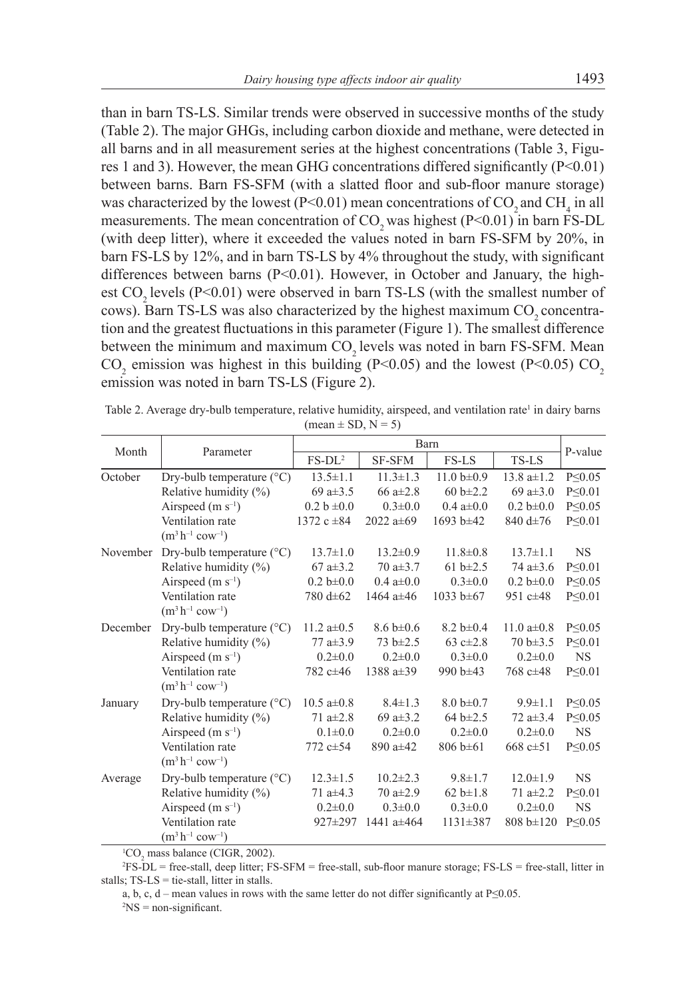than in barn TS-LS. Similar trends were observed in successive months of the study (Table 2). The major GHGs, including carbon dioxide and methane, were detected in all barns and in all measurement series at the highest concentrations (Table 3, Figures 1 and 3). However, the mean GHG concentrations differed significantly (P<0.01) between barns. Barn FS-SFM (with a slatted floor and sub-floor manure storage) was characterized by the lowest (P<0.01) mean concentrations of  $CO_2$  and  $CH_4$  in all measurements. The mean concentration of  $CO<sub>2</sub>$  was highest (P<0.01) in barn FS-DL (with deep litter), where it exceeded the values noted in barn FS-SFM by 20%, in barn FS-LS by 12%, and in barn TS-LS by 4% throughout the study, with significant differences between barns (P<0.01). However, in October and January, the highest  $CO$ , levels (P<0.01) were observed in barn TS-LS (with the smallest number of cows). Barn TS-LS was also characterized by the highest maximum CO<sub>2</sub> concentration and the greatest fluctuations in this parameter (Figure 1). The smallest difference between the minimum and maximum CO<sub>2</sub> levels was noted in barn FS-SFM. Mean  $CO_2$  emission was highest in this building (P<0.05) and the lowest (P<0.05)  $CO_2$ emission was noted in barn TS-LS (Figure 2).

|          | Parameter                                           | Barn             |                 |                 |                    |               |
|----------|-----------------------------------------------------|------------------|-----------------|-----------------|--------------------|---------------|
| Month    |                                                     | $FS-DL^2$        | SF-SFM          | FS-LS           | TS-LS              | P-value       |
| October  | Dry-bulb temperature $(^{\circ}C)$                  | $13.5 \pm 1.1$   | $11.3 \pm 1.3$  | 11.0 $h\pm 0.9$ | $13.8$ a $\pm 1.2$ | P < 0.05      |
|          | Relative humidity $(\%)$                            | 69 a $\pm$ 3.5   | 66 $a \pm 2.8$  | 60 b $\pm 2.2$  | 69 a $\pm 3.0$     | $P \leq 0.01$ |
|          | Airspeed $(m s^{-1})$                               | $0.2 b \pm 0.0$  | $0.3 \pm 0.0$   | $0.4 a \pm 0.0$ | $0.2 b \pm 0.0$    | $P \leq 0.05$ |
|          | Ventilation rate<br>$(m^3 h^{-1} \text{ cow}^{-1})$ | 1372 c $\pm 84$  | 2022 $a \pm 69$ | 1693 b $\pm 42$ | 840 d±76           | P < 0.01      |
| November | Dry-bulb temperature $(^{\circ}C)$                  | $13.7 \pm 1.0$   | $13.2 \pm 0.9$  | $11.8 \pm 0.8$  | $13.7 \pm 1.1$     | <b>NS</b>     |
|          | Relative humidity $(\%)$                            | $67a \pm 3.2$    | $70a \pm 3.7$   | 61 $b \pm 2.5$  | 74 $a\pm3.6$       | $P \leq 0.01$ |
|          | Airspeed $(m s^{-1})$                               | $0.2 b \pm 0.0$  | $0.4 a \pm 0.0$ | $0.3 \pm 0.0$   | $0.2 b \pm 0.0$    | P < 0.05      |
|          | Ventilation rate<br>$(m^3 h^{-1} \text{ cow}^{-1})$ | 780 d±62         | 1464 $a \pm 46$ | 1033 b $\pm 67$ | 951 $c\pm 48$      | $P \leq 0.01$ |
| December | Dry-bulb temperature $(^{\circ}C)$                  | 11.2 $a\pm 0.5$  | $8.6 b \pm 0.6$ | $8.2 b \pm 0.4$ | 11.0 $a\pm0.8$     | $P \leq 0.05$ |
|          | Relative humidity $(\%)$                            | 77 $a \pm 3.9$   | 73 b±2.5        | 63 c $\pm 2.8$  | $70 b \pm 3.5$     | P < 0.01      |
|          | Airspeed $(m s^{-1})$                               | $0.2 \pm 0.0$    | $0.2\pm 0.0$    | $0.3 \pm 0.0$   | $0.2 \pm 0.0$      | <b>NS</b>     |
|          | Ventilation rate<br>$(m^3 h^{-1} \text{ cow}^{-1})$ | 782 c±46         | 1388 $a\pm39$   | 990 b±43        | 768 c±48           | $P \leq 0.01$ |
| January  | Dry-bulb temperature $(^{\circ}C)$                  | $10.5 a \pm 0.8$ | $8.4 \pm 1.3$   | $8.0 b \pm 0.7$ | $9.9 \pm 1.1$      | $P \leq 0.05$ |
|          | Relative humidity (%)                               | 71 $a \pm 2.8$   | 69 a $\pm$ 3.2  | $64 b \pm 2.5$  | 72 $a \pm 3.4$     | $P \leq 0.05$ |
|          | Airspeed $(m s^{-1})$                               | $0.1 \pm 0.0$    | $0.2 \pm 0.0$   | $0.2 \pm 0.0$   | $0.2 \pm 0.0$      | <b>NS</b>     |
|          | Ventilation rate<br>$(m^3 h^{-1} \text{ cow}^{-1})$ | 772 $c\pm 54$    | 890 $a \pm 42$  | $806 b \pm 61$  | 668 c $\pm$ 51     | P < 0.05      |
| Average  | Dry-bulb temperature $(^{\circ}C)$                  | $12.3 \pm 1.5$   | $10.2 \pm 2.3$  | $9.8 \pm 1.7$   | $12.0 \pm 1.9$     | <b>NS</b>     |
|          | Relative humidity $(\%)$                            | 71 a $\pm$ 4.3   | 70 $a\pm 2.9$   | $62 b \pm 1.8$  | 71 $a\pm 2.2$      | $P \leq 0.01$ |
|          | Airspeed $(m s^{-1})$                               | $0.2 \pm 0.0$    | $0.3 \pm 0.0$   | $0.3 \pm 0.0$   | $0.2 \pm 0.0$      | <b>NS</b>     |
|          | Ventilation rate<br>$(m^3 h^{-1} \text{ cow}^{-1})$ | 927±297          | 1441 a±464      | $1131 \pm 387$  | $808 b \pm 120$    | $P \leq 0.05$ |

Table 2. Average dry-bulb temperature, relative humidity, airspeed, and ventilation rate<sup>1</sup> in dairy barns  $(\text{mean} \pm \text{SD}, \text{N} = 5)$ 

 ${}^{1}CO_{2}$  mass balance (CIGR, 2002).

2 FS-DL = free-stall, deep litter; FS-SFM = free-stall, sub-floor manure storage; FS-LS = free-stall, litter in stalls; TS-LS = tie-stall, litter in stalls.

a, b, c, d – mean values in rows with the same letter do not differ significantly at P≤0.05.

 $2'NS = non-significant$ .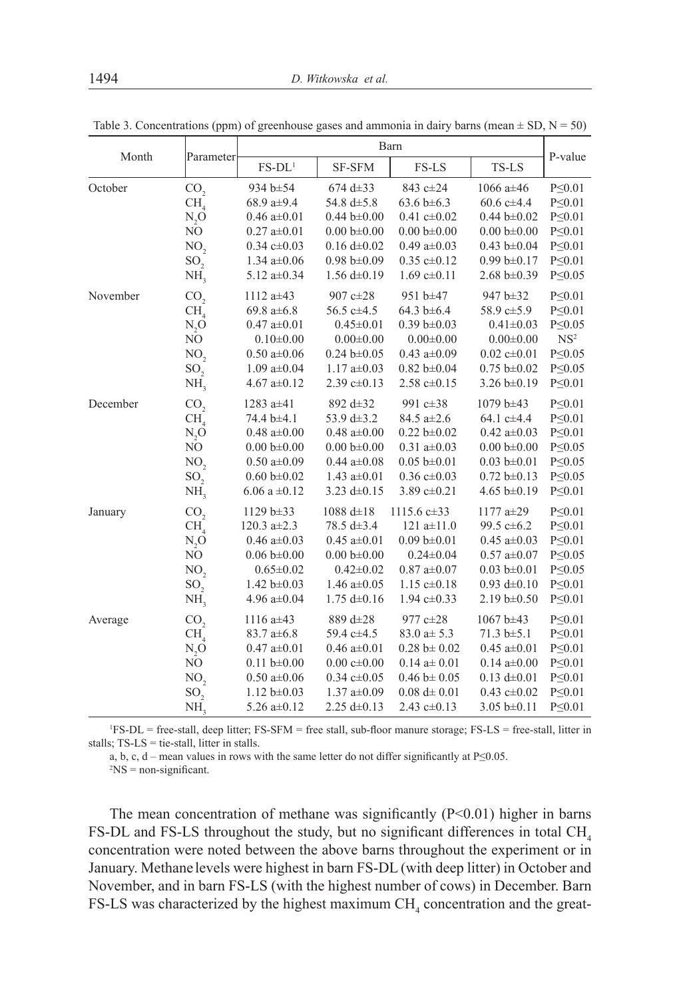| Month    | Parameter       | Barn                      |                           |                           |                           | P-value         |
|----------|-----------------|---------------------------|---------------------------|---------------------------|---------------------------|-----------------|
|          |                 | $FS-DL1$                  | <b>SF-SFM</b>             | FS-LS                     | TS-LS                     |                 |
| October  | CO <sub>2</sub> | 934 b±54                  | 674 d $\pm$ 33            | 843 c±24                  | 1066 $a \pm 46$           | $P \leq 0.01$   |
|          | CH <sub>4</sub> | 68.9 $a\pm9.4$            | 54.8 $d\pm 5.8$           | 63.6 b $\pm$ 6.3          | $60.6 \text{ c} \pm 4.4$  | $P \leq 0.01$   |
|          | N, O            | $0.46 \text{ a} \pm 0.01$ | $0.44 b \pm 0.00$         | $0.41 \text{ c} \pm 0.02$ | $0.44 b \pm 0.02$         | $P \leq 0.01$   |
|          | NO              | $0.27$ a $\pm 0.01$       | $0.00 b \pm 0.00$         | $0.00 b \pm 0.00$         | $0.00 b \pm 0.00$         | $P \leq 0.01$   |
|          | NO <sub>2</sub> | $0.34 \text{ c} \pm 0.03$ | $0.16 d \pm 0.02$         | 0.49 $a\pm0.03$           | $0.43 \text{ b} \pm 0.04$ | $P \leq 0.01$   |
|          | SO <sub>2</sub> | $1.34$ a $\pm 0.06$       | $0.98 \text{ b} \pm 0.09$ | $0.35 c \pm 0.12$         | $0.99 b \pm 0.17$         | $P \leq 0.01$   |
|          | NH,             | 5.12 $a\pm0.34$           | $1.56 \text{ d} \pm 0.19$ | $1.69 \text{ c} \pm 0.11$ | $2.68 \text{ b} \pm 0.39$ | $P \leq 0.05$   |
| November | CO <sub>2</sub> | 1112 $a \pm 43$           | 907 $c\pm 28$             | 951 b±47                  | $947 b \pm 32$            | $P \leq 0.01$   |
|          | CH <sub>4</sub> | 69.8 $a \pm 6.8$          | 56.5 $c\pm4.5$            | 64.3 b $\pm$ 6.4          | 58.9 $c\pm 5.9$           | $P \leq 0.01$   |
|          | $N_2O$          | $0.47$ a $\pm 0.01$       | $0.45 \pm 0.01$           | $0.39 b \pm 0.03$         | $0.41 \pm 0.03$           | $P \leq 0.05$   |
|          | $\rm NO$        | $0.10 \pm 0.00$           | $0.00 \pm 0.00$           | $0.00 \pm 0.00$           | $0.00 \pm 0.00$           | NS <sup>2</sup> |
|          | NO <sub>2</sub> | $0.50 a \pm 0.06$         | $0.24 b \pm 0.05$         | 0.43 $a\pm0.09$           | $0.02 \text{ c} \pm 0.01$ | $P \leq 0.05$   |
|          | SO <sub>2</sub> | $1.09a \pm 0.04$          | $1.17 \text{ a} \pm 0.03$ | $0.82 b \pm 0.04$         | $0.75 b \pm 0.02$         | $P \leq 0.05$   |
|          | NH,             | 4.67 $a\pm0.12$           | 2.39 $c\pm0.13$           | $2.58 \text{ c} \pm 0.15$ | 3.26 $b\pm0.19$           | $P \leq 0.01$   |
| December | CO <sub>2</sub> | 1283 $a \pm 41$           | 892 d $\pm$ 32            | 991 c±38                  | $1079 b \pm 43$           | $P \leq 0.01$   |
|          | CH <sub>4</sub> | 74.4 b±4.1                | 53.9 $d\pm3.2$            | 84.5 $a \pm 2.6$          | 64.1 $c\pm4.4$            | $P \leq 0.01$   |
|          | $N_2O$          | $0.48$ a± $0.00$          | $0.48$ a± $0.00$          | $0.22 b \pm 0.02$         | $0.42 a \pm 0.03$         | $P \leq 0.01$   |
|          | NO              | $0.00 b \pm 0.00$         | $0.00 b \pm 0.00$         | $0.31$ a± $0.03$          | $0.00 b \pm 0.00$         | $P \leq 0.05$   |
|          | NO <sub>2</sub> | $0.50 a \pm 0.09$         | $0.44 \text{ a} \pm 0.08$ | $0.05 b \pm 0.01$         | $0.03 \text{ b} \pm 0.01$ | $P \leq 0.05$   |
|          | SO <sub>2</sub> | $0.60 \text{ b} \pm 0.02$ | 1.43 $a\pm0.01$           | $0.36 \text{ c} \pm 0.03$ | $0.72 b \pm 0.13$         | $P \leq 0.05$   |
|          | NH,             | $6.06 a \pm 0.12$         | 3.23 $d\pm 0.15$          | 3.89 $c\pm0.21$           | 4.65 b $\pm$ 0.19         | $P \leq 0.01$   |
| January  | CO <sub>2</sub> | $1129 b\pm 33$            | $1088 d \pm 18$           | $1115.6 \text{ c} \pm 33$ | 1177 $a\pm 29$            | $P \leq 0.01$   |
|          | CH <sub>4</sub> | 120.3 $a\pm2.3$           | 78.5 $d\pm 3.4$           | 121 $a \pm 11.0$          | 99.5 $c\pm6.2$            | $P \leq 0.01$   |
|          | $N_2O$          | $0.46 a \pm 0.03$         | $0.45 a \pm 0.01$         | $0.09 b \pm 0.01$         | $0.45 a \pm 0.03$         | $P \leq 0.01$   |
|          | NO              | $0.06 \text{ b} \pm 0.00$ | $0.00 b \pm 0.00$         | $0.24 \pm 0.04$           | $0.57$ a± $0.07$          | $P \leq 0.05$   |
|          | NO,             | $0.65 \pm 0.02$           | $0.42 \pm 0.02$           | $0.87$ a± $0.07$          | $0.03 b \pm 0.01$         | $P \leq 0.05$   |
|          | SO <sub>2</sub> | 1.42 $b\pm0.03$           | 1.46 $a\pm0.05$           | 1.15 $c\pm0.18$           | 0.93 $d\pm 0.10$          | $P \leq 0.01$   |
|          | NH,             | 4.96 $a\pm0.04$           | $1.75 \text{ d} \pm 0.16$ | 1.94 $c\pm 0.33$          | $2.19 b \pm 0.50$         | $P \leq 0.01$   |
| Average  | CO <sub>2</sub> | 1116 $a \pm 43$           | 889 d±28                  | 977 $c\pm 28$             | $1067 b \pm 43$           | $P \leq 0.01$   |
|          | CH <sub>4</sub> | $83.7 a \pm 6.8$          | 59.4 c±4.5                | $83.0 a \pm 5.3$          | $71.3 b \pm 5.1$          | $P \leq 0.01$   |
|          | $N_{2}O$        | $0.47$ a $\pm 0.01$       | $0.46 a \pm 0.01$         | $0.28 \text{ b} \pm 0.02$ | $0.45 a \pm 0.01$         | $P \leq 0.01$   |
|          | NO              | $0.11 b \pm 0.00$         | $0.00 c \pm 0.00$         | $0.14$ a $\pm$ 0.01       | $0.14 \text{ a} \pm 0.00$ | $P \leq 0.01$   |
|          | NO <sub>2</sub> | $0.50 a \pm 0.06$         | $0.34 \text{ c} \pm 0.05$ | $0.46 \text{ b} \pm 0.05$ | $0.13 d \pm 0.01$         | $P \leq 0.01$   |
|          | SO <sub>2</sub> | $1.12 \text{ b} \pm 0.03$ | $1.37$ a $\pm 0.09$       | $0.08 d \pm 0.01$         | $0.43 \text{ c} \pm 0.02$ | $P \leq 0.01$   |
|          | NH,             | 5.26 $a\pm0.12$           | 2.25 $d\pm 0.13$          | 2.43 $c\pm0.13$           | 3.05 $b\pm0.11$           | $P \leq 0.01$   |

Table 3. Concentrations (ppm) of greenhouse gases and ammonia in dairy barns (mean  $\pm$  SD, N = 50)

1 FS-DL = free-stall, deep litter; FS-SFM = free stall, sub-floor manure storage; FS-LS = free-stall, litter in stalls; TS-LS = tie-stall, litter in stalls.

a, b, c, d – mean values in rows with the same letter do not differ significantly at P≤0.05.

2 NS = non-significant.

The mean concentration of methane was significantly  $(P<0.01)$  higher in barns FS-DL and FS-LS throughout the study, but no significant differences in total  $CH<sub>4</sub>$ concentration were noted between the above barns throughout the experiment or in January. Methane levels were highest in barn FS-DL (with deep litter) in October and November, and in barn FS-LS (with the highest number of cows) in December. Barn  $FS$ -LS was characterized by the highest maximum  $CH<sub>4</sub>$  concentration and the great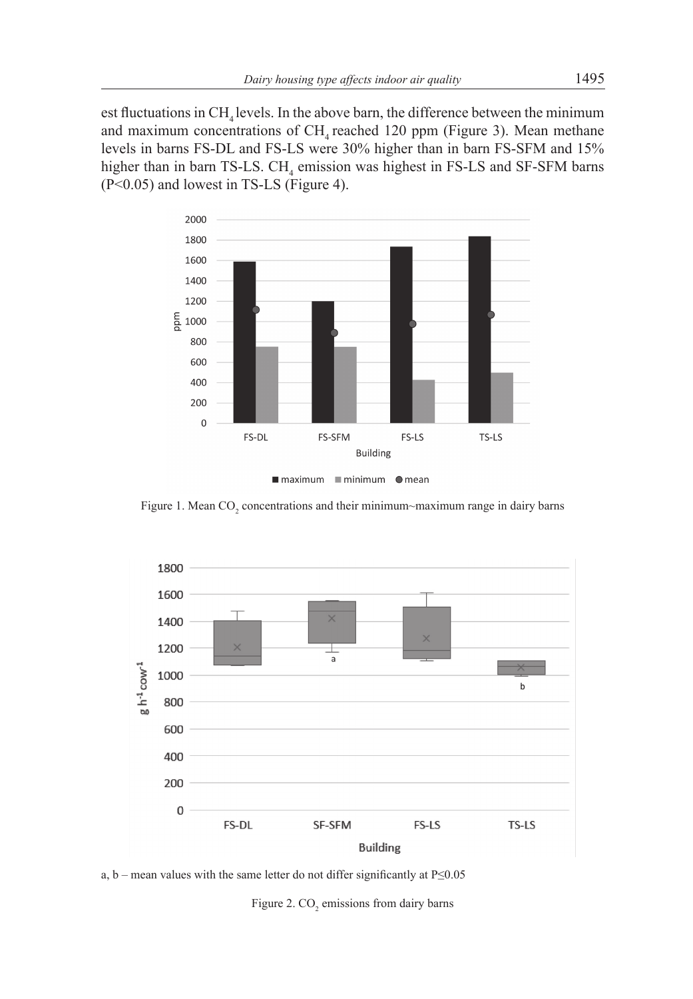est fluctuations in  $CH<sub>4</sub>$  levels. In the above barn, the difference between the minimum and maximum concentrations of  $CH<sub>4</sub>$  reached 120 ppm (Figure 3). Mean methane levels in barns FS-DL and FS-LS were 30% higher than in barn FS-SFM and 15% higher than in barn TS-LS.  $CH<sub>4</sub>$  emission was highest in FS-LS and SF-SFM barns (P<0.05) and lowest in TS-LS (Figure 4).



maximum minimum omean

Figure 1. Mean  $CO_2$  concentrations and their minimum~maximum range in dairy barns



a, b – mean values with the same letter do not differ significantly at P≤0.05

Figure 2.  $CO<sub>2</sub>$  emissions from dairy barns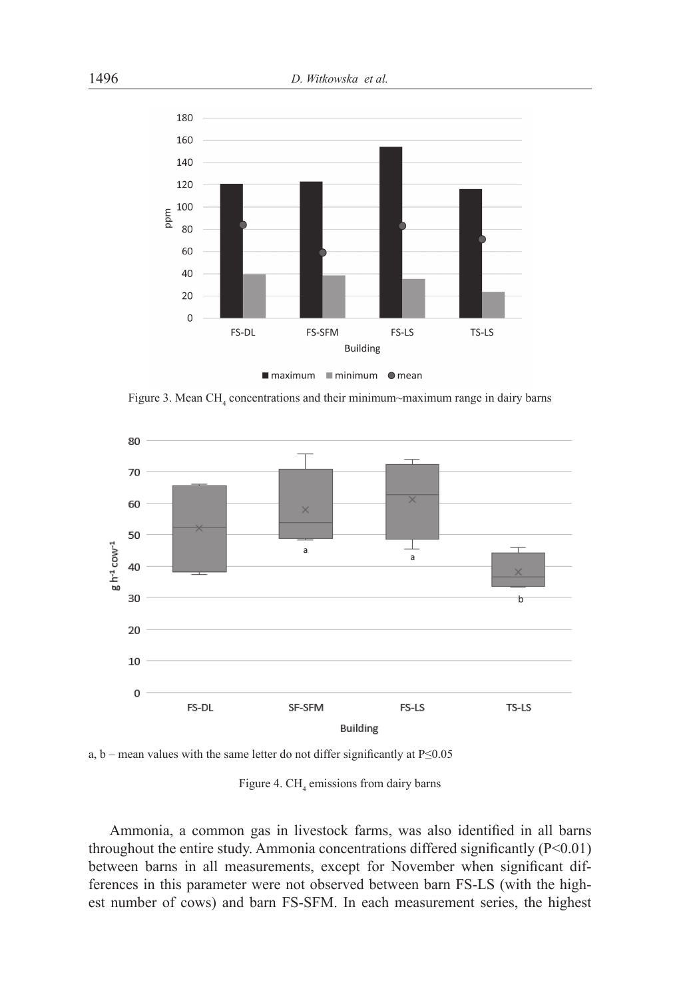



Figure 3. Mean  $CH_4$  concentrations and their minimum~maximum range in dairy barns



a, b – mean values with the same letter do not differ significantly at P≤0.05

### Figure 4.  $CH<sub>4</sub>$  emissions from dairy barns

Ammonia, a common gas in livestock farms, was also identified in all barns throughout the entire study. Ammonia concentrations differed significantly (P<0.01) between barns in all measurements, except for November when significant differences in this parameter were not observed between barn FS-LS (with the highest number of cows) and barn FS-SFM. In each measurement series, the highest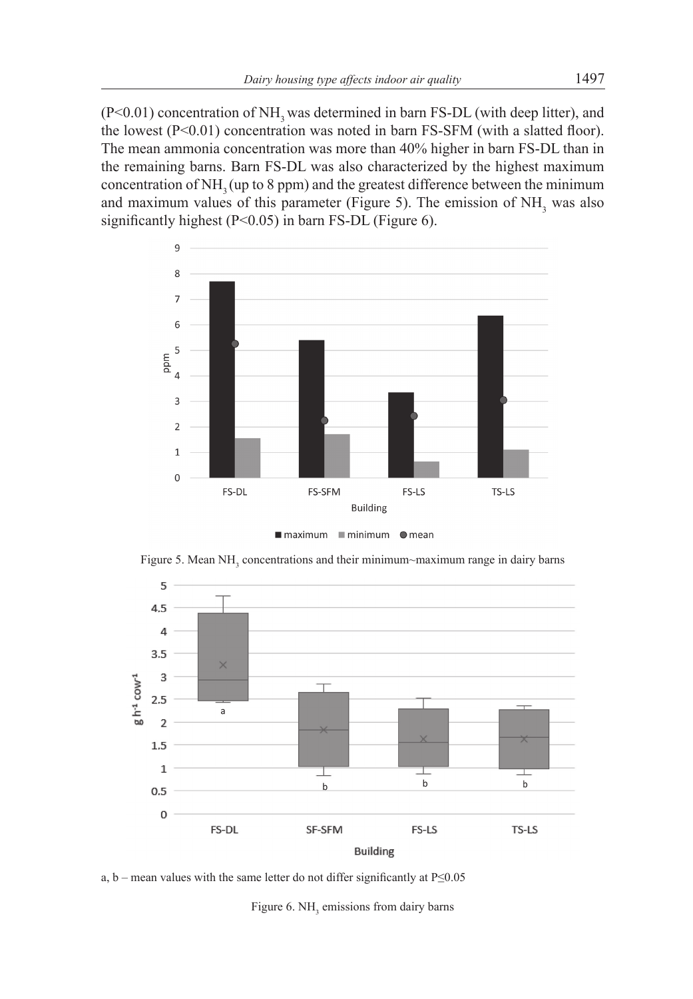$(P<0.01)$  concentration of NH<sub>2</sub> was determined in barn FS-DL (with deep litter), and the lowest  $(P<0.01)$  concentration was noted in barn FS-SFM (with a slatted floor). The mean ammonia concentration was more than 40% higher in barn FS-DL than in the remaining barns. Barn FS-DL was also characterized by the highest maximum concentration of  $NH<sub>3</sub>(up to 8 ppm)$  and the greatest difference between the minimum and maximum values of this parameter (Figure 5). The emission of  $NH<sub>3</sub>$  was also significantly highest (P<0.05) in barn FS-DL (Figure 6).



Figure 5. Mean  $NH<sub>3</sub>$  concentrations and their minimum~maximum range in dairy barns



a, b – mean values with the same letter do not differ significantly at P≤0.05

Figure 6.  $NH<sub>3</sub>$  emissions from dairy barns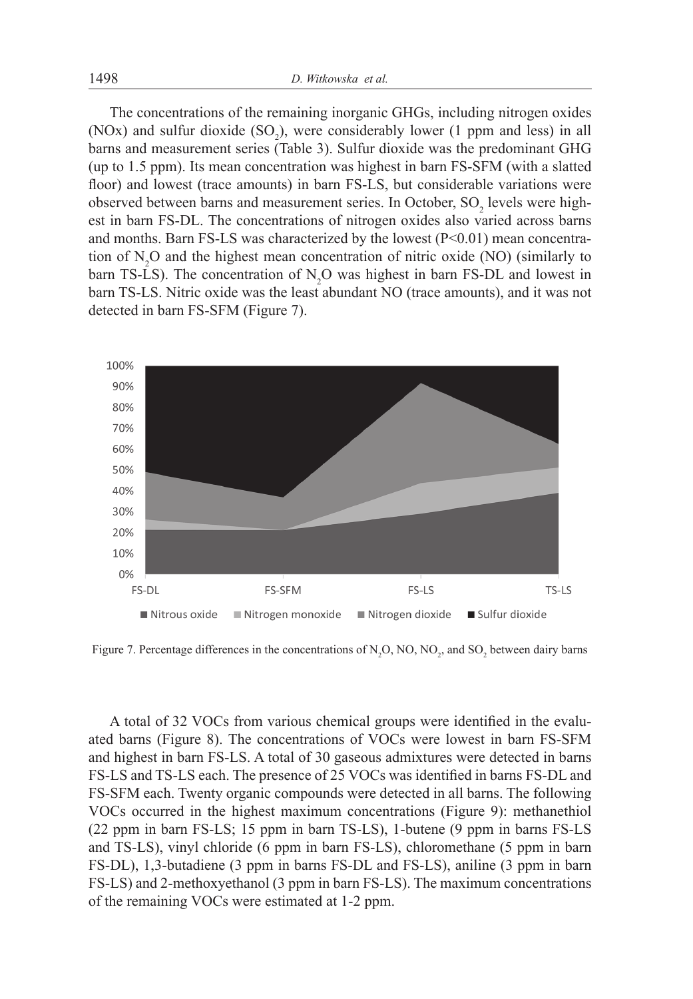The concentrations of the remaining inorganic GHGs, including nitrogen oxides (NOx) and sulfur dioxide  $(SO_2)$ , were considerably lower (1 ppm and less) in all barns and measurement series (Table 3). Sulfur dioxide was the predominant GHG (up to 1.5 ppm). Its mean concentration was highest in barn FS-SFM (with a slatted floor) and lowest (trace amounts) in barn FS-LS, but considerable variations were observed between barns and measurement series. In October,  $SO_2$  levels were highest in barn FS-DL. The concentrations of nitrogen oxides also varied across barns and months. Barn FS-LS was characterized by the lowest  $(P<0.01)$  mean concentration of  $N_2O$  and the highest mean concentration of nitric oxide (NO) (similarly to barn TS-LS). The concentration of  $N_2O$  was highest in barn FS-DL and lowest in barn TS-LS. Nitric oxide was the least abundant NO (trace amounts), and it was not detected in barn FS-SFM (Figure 7).



Figure 7. Percentage differences in the concentrations of  $N_2O$ , NO, NO<sub>2</sub>, and SO<sub>2</sub> between dairy barns

A total of 32 VOCs from various chemical groups were identified in the evaluated barns (Figure 8). The concentrations of VOCs were lowest in barn FS-SFM and highest in barn FS-LS. A total of 30 gaseous admixtures were detected in barns FS-LS and TS-LS each. The presence of 25 VOCs was identified in barns FS-DL and FS-SFM each. Twenty organic compounds were detected in all barns. The following VOCs occurred in the highest maximum concentrations (Figure 9): methanethiol (22 ppm in barn FS-LS; 15 ppm in barn TS-LS), 1-butene (9 ppm in barns FS-LS and TS-LS), vinyl chloride (6 ppm in barn FS-LS), chloromethane (5 ppm in barn FS-DL), 1,3-butadiene (3 ppm in barns FS-DL and FS-LS), aniline (3 ppm in barn FS-LS) and 2-methoxyethanol (3 ppm in barn FS-LS). The maximum concentrations of the remaining VOCs were estimated at 1-2 ppm.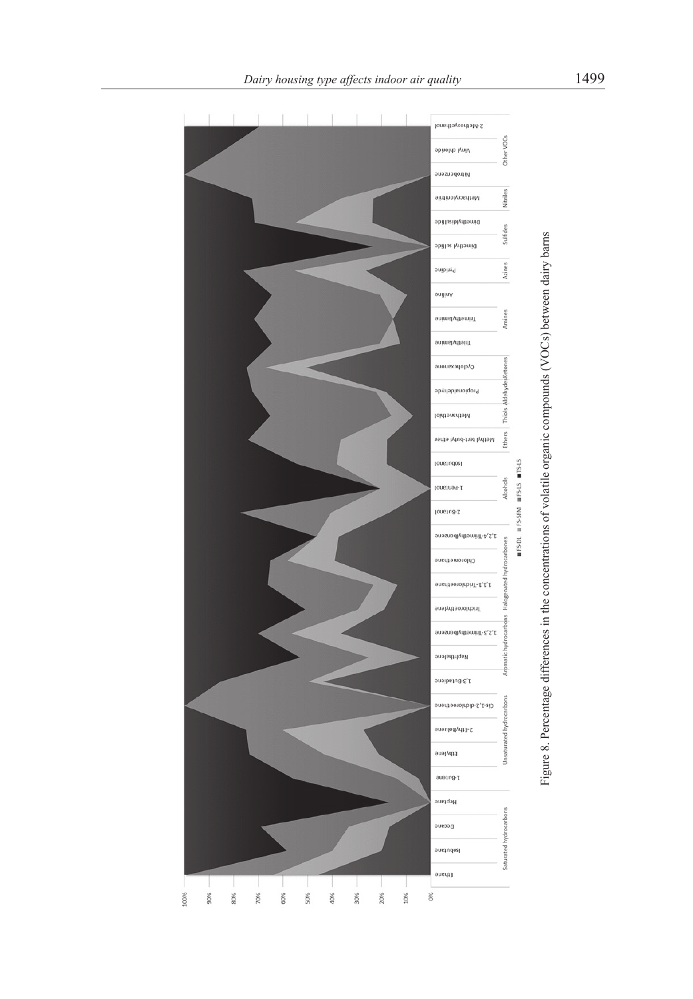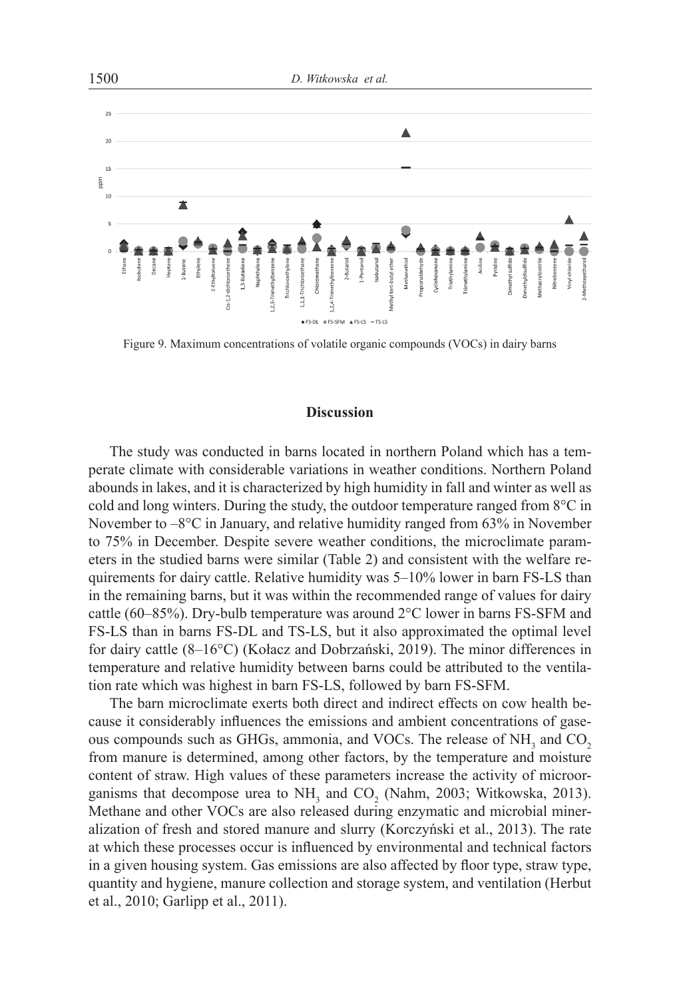

Figure 9. Maximum concentrations of volatile organic compounds (VOCs) in dairy barns

#### **Discussion**

The study was conducted in barns located in northern Poland which has a temperate climate with considerable variations in weather conditions. Northern Poland abounds in lakes, and it is characterized by high humidity in fall and winter as well as cold and long winters. During the study, the outdoor temperature ranged from 8°C in November to  $-8^{\circ}$ C in January, and relative humidity ranged from 63% in November to 75% in December. Despite severe weather conditions, the microclimate parameters in the studied barns were similar (Table 2) and consistent with the welfare requirements for dairy cattle. Relative humidity was 5–10% lower in barn FS-LS than in the remaining barns, but it was within the recommended range of values for dairy cattle (60–85%). Dry-bulb temperature was around  $2^{\circ}$ C lower in barns FS-SFM and FS-LS than in barns FS-DL and TS-LS, but it also approximated the optimal level for dairy cattle (8–16°C) (Kołacz and Dobrzański, 2019). The minor differences in temperature and relative humidity between barns could be attributed to the ventilation rate which was highest in barn FS-LS, followed by barn FS-SFM.

The barn microclimate exerts both direct and indirect effects on cow health because it considerably influences the emissions and ambient concentrations of gaseous compounds such as GHGs, ammonia, and VOCs. The release of  $NH<sub>3</sub>$  and  $CO<sub>2</sub>$ from manure is determined, among other factors, by the temperature and moisture content of straw. High values of these parameters increase the activity of microorganisms that decompose urea to  $NH_3$  and  $CO_2$  (Nahm, 2003; Witkowska, 2013). Methane and other VOCs are also released during enzymatic and microbial mineralization of fresh and stored manure and slurry (Korczyński et al., 2013). The rate at which these processes occur is influenced by environmental and technical factors in a given housing system. Gas emissions are also affected by floor type, straw type, quantity and hygiene, manure collection and storage system, and ventilation (Herbut et al., 2010; Garlipp et al., 2011).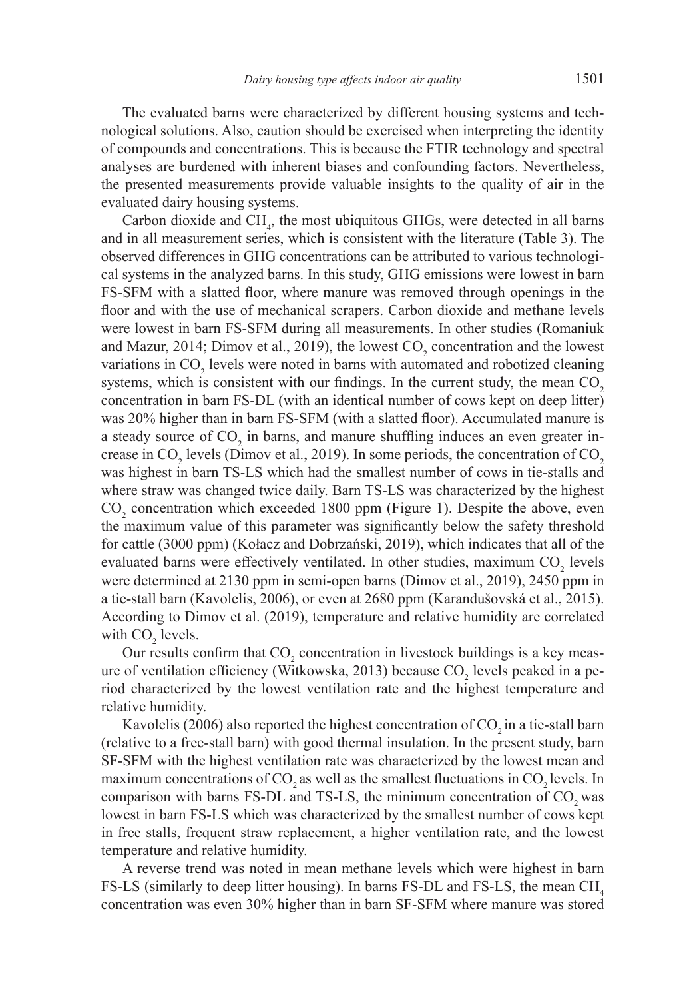The evaluated barns were characterized by different housing systems and technological solutions. Also, caution should be exercised when interpreting the identity of compounds and concentrations. This is because the FTIR technology and spectral analyses are burdened with inherent biases and confounding factors. Nevertheless, the presented measurements provide valuable insights to the quality of air in the evaluated dairy housing systems.

Carbon dioxide and  $CH_4$ , the most ubiquitous GHGs, were detected in all barns and in all measurement series, which is consistent with the literature (Table 3). The observed differences in GHG concentrations can be attributed to various technological systems in the analyzed barns. In this study, GHG emissions were lowest in barn FS-SFM with a slatted floor, where manure was removed through openings in the floor and with the use of mechanical scrapers. Carbon dioxide and methane levels were lowest in barn FS-SFM during all measurements. In other studies (Romaniuk and Mazur, 2014; Dimov et al., 2019), the lowest  $CO_2$  concentration and the lowest variations in  $CO_2$  levels were noted in barns with automated and robotized cleaning systems, which is consistent with our findings. In the current study, the mean  $CO<sub>2</sub>$ concentration in barn FS-DL (with an identical number of cows kept on deep litter) was 20% higher than in barn FS-SFM (with a slatted floor). Accumulated manure is a steady source of  $CO_2$  in barns, and manure shuffling induces an even greater increase in CO<sub>2</sub> levels (Dimov et al., 2019). In some periods, the concentration of CO<sub>2</sub> was highest in barn TS-LS which had the smallest number of cows in tie-stalls and where straw was changed twice daily. Barn TS-LS was characterized by the highest  $CO<sub>2</sub>$  concentration which exceeded 1800 ppm (Figure 1). Despite the above, even the maximum value of this parameter was significantly below the safety threshold for cattle (3000 ppm) (Kołacz and Dobrzański, 2019), which indicates that all of the evaluated barns were effectively ventilated. In other studies, maximum  $CO<sub>2</sub>$  levels were determined at 2130 ppm in semi-open barns (Dimov et al., 2019), 2450 ppm in a tie-stall barn (Kavolelis, 2006), or even at 2680 ppm (Karandušovská et al., 2015). According to Dimov et al. (2019), temperature and relative humidity are correlated with  $CO<sub>2</sub>$  levels.

Our results confirm that  $CO_2$  concentration in livestock buildings is a key measure of ventilation efficiency (Witkowska, 2013) because  $CO_2$  levels peaked in a period characterized by the lowest ventilation rate and the highest temperature and relative humidity.

Kavolelis (2006) also reported the highest concentration of  $CO<sub>2</sub>$  in a tie-stall barn (relative to a free-stall barn) with good thermal insulation. In the present study, barn SF-SFM with the highest ventilation rate was characterized by the lowest mean and maximum concentrations of CO<sub>2</sub> as well as the smallest fluctuations in CO<sub>2</sub> levels. In comparison with barns FS-DL and TS-LS, the minimum concentration of  $CO<sub>2</sub>$  was lowest in barn FS-LS which was characterized by the smallest number of cows kept in free stalls, frequent straw replacement, a higher ventilation rate, and the lowest temperature and relative humidity.

A reverse trend was noted in mean methane levels which were highest in barn FS-LS (similarly to deep litter housing). In barns FS-DL and FS-LS, the mean  $CH<sub>4</sub>$ concentration was even 30% higher than in barn SF-SFM where manure was stored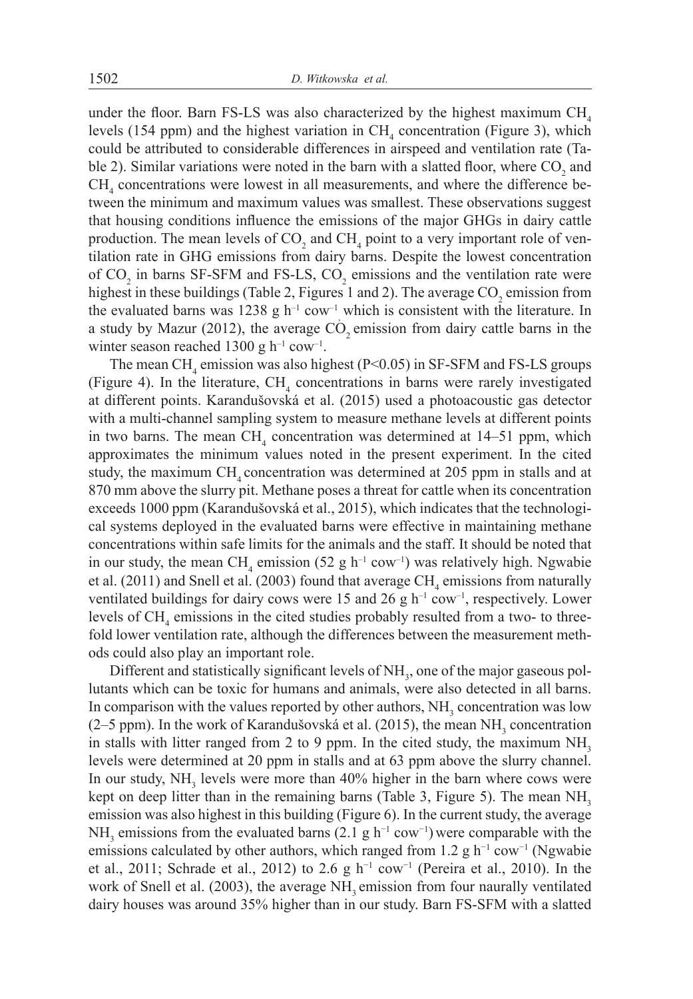under the floor. Barn FS-LS was also characterized by the highest maximum  $CH<sub>4</sub>$ levels (154 ppm) and the highest variation in  $CH<sub>4</sub>$  concentration (Figure 3), which could be attributed to considerable differences in airspeed and ventilation rate (Table 2). Similar variations were noted in the barn with a slatted floor, where  $CO<sub>2</sub>$  and  $CH<sub>4</sub>$  concentrations were lowest in all measurements, and where the difference between the minimum and maximum values was smallest. These observations suggest that housing conditions influence the emissions of the major GHGs in dairy cattle production. The mean levels of  $CO_2$  and  $CH_4$  point to a very important role of ventilation rate in GHG emissions from dairy barns. Despite the lowest concentration of  $CO_2$  in barns SF-SFM and FS-LS,  $CO_2$  emissions and the ventilation rate were highest in these buildings (Table 2, Figures 1 and 2). The average  $CO_2$  emission from the evaluated barns was 1238 g  $h^{-1}$  cow<sup>-1</sup> which is consistent with the literature. In a study by Mazur (2012), the average  $CO<sub>2</sub>$  emission from dairy cattle barns in the winter season reached 1300 g  $h^{-1}$  cow<sup>-1</sup>.

The mean CH<sub>4</sub> emission was also highest ( $P<0.05$ ) in SF-SFM and FS-LS groups (Figure 4). In the literature,  $CH<sub>4</sub>$  concentrations in barns were rarely investigated at different points. Karandušovská et al. (2015) used a photoacoustic gas detector with a multi-channel sampling system to measure methane levels at different points in two barns. The mean  $CH<sub>4</sub>$  concentration was determined at 14–51 ppm, which approximates the minimum values noted in the present experiment. In the cited study, the maximum  $CH<sub>4</sub>$  concentration was determined at 205 ppm in stalls and at 870 mm above the slurry pit. Methane poses a threat for cattle when its concentration exceeds 1000 ppm (Karandušovská et al., 2015), which indicates that the technological systems deployed in the evaluated barns were effective in maintaining methane concentrations within safe limits for the animals and the staff. It should be noted that in our study, the mean  $CH_4$  emission (52 g h<sup>-1</sup> cow<sup>-1</sup>) was relatively high. Ngwabie et al.  $(2011)$  and Snell et al.  $(2003)$  found that average  $CH<sub>4</sub>$  emissions from naturally ventilated buildings for dairy cows were 15 and 26 g  $h^{-1}$  cow<sup>-1</sup>, respectively. Lower levels of  $CH<sub>4</sub>$  emissions in the cited studies probably resulted from a two- to threefold lower ventilation rate, although the differences between the measurement methods could also play an important role.

Different and statistically significant levels of  $NH<sub>3</sub>$ , one of the major gaseous pollutants which can be toxic for humans and animals, were also detected in all barns. In comparison with the values reported by other authors,  $NH<sub>3</sub>$  concentration was low (2–5 ppm). In the work of Karandušovská et al. (2015), the mean  $NH<sub>3</sub>$  concentration in stalls with litter ranged from 2 to 9 ppm. In the cited study, the maximum  $NH<sub>3</sub>$ levels were determined at 20 ppm in stalls and at 63 ppm above the slurry channel. In our study,  $NH<sub>3</sub>$  levels were more than 40% higher in the barn where cows were kept on deep litter than in the remaining barns (Table 3, Figure 5). The mean  $NH<sub>3</sub>$ emission was also highest in this building (Figure 6). In the current study, the average NH<sub>3</sub> emissions from the evaluated barns (2.1 g h<sup>-1</sup> cow<sup>-1</sup>) were comparable with the emissions calculated by other authors, which ranged from 1.2 g h<sup>-1</sup> cow<sup>-1</sup> (Ngwabie et al., 2011; Schrade et al., 2012) to 2.6 g h<sup>-1</sup> cow<sup>-1</sup> (Pereira et al., 2010). In the work of Snell et al. (2003), the average NH<sub>2</sub> emission from four naurally ventilated dairy houses was around 35% higher than in our study. Barn FS-SFM with a slatted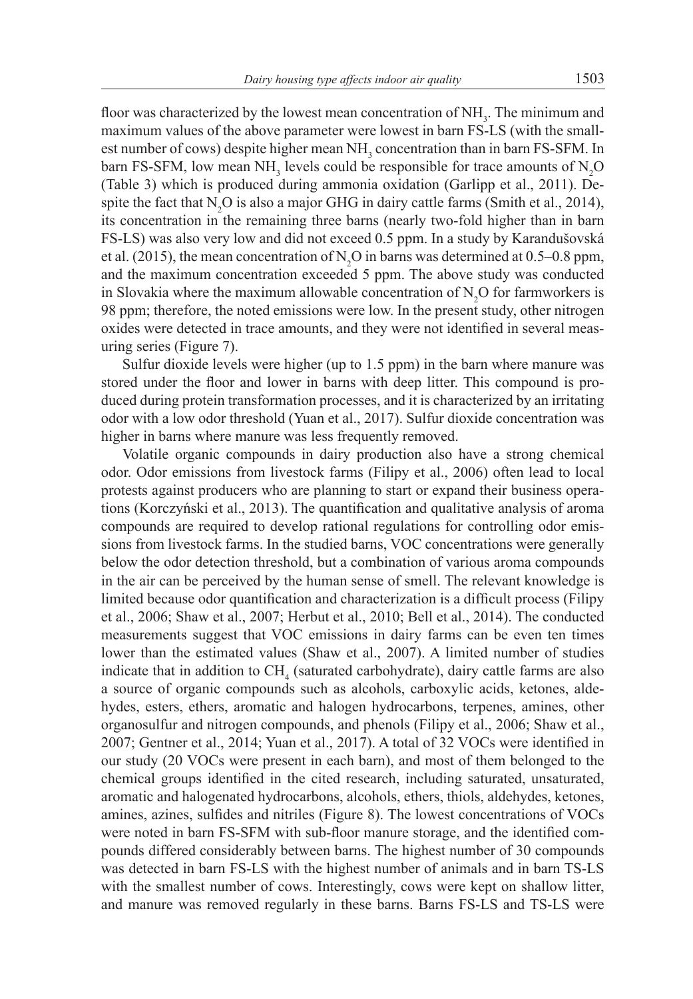floor was characterized by the lowest mean concentration of  $NH<sub>3</sub>$ . The minimum and maximum values of the above parameter were lowest in barn FS-LS (with the smallest number of cows) despite higher mean  $NH<sub>3</sub>$  concentration than in barn FS-SFM. In barn FS-SFM, low mean NH<sub>3</sub> levels could be responsible for trace amounts of  $N_2O$ (Table 3) which is produced during ammonia oxidation (Garlipp et al., 2011). Despite the fact that  $N_2O$  is also a major GHG in dairy cattle farms (Smith et al., 2014), its concentration in the remaining three barns (nearly two-fold higher than in barn FS-LS) was also very low and did not exceed 0.5 ppm. In a study by Karandušovská et al. (2015), the mean concentration of  $N_2O$  in barns was determined at 0.5–0.8 ppm, and the maximum concentration exceeded 5 ppm. The above study was conducted in Slovakia where the maximum allowable concentration of  $N_2O$  for farmworkers is 98 ppm; therefore, the noted emissions were low. In the present study, other nitrogen oxides were detected in trace amounts, and they were not identified in several measuring series (Figure 7).

Sulfur dioxide levels were higher (up to 1.5 ppm) in the barn where manure was stored under the floor and lower in barns with deep litter. This compound is produced during protein transformation processes, and it is characterized by an irritating odor with a low odor threshold (Yuan et al., 2017). Sulfur dioxide concentration was higher in barns where manure was less frequently removed.

Volatile organic compounds in dairy production also have a strong chemical odor. Odor emissions from livestock farms (Filipy et al., 2006) often lead to local protests against producers who are planning to start or expand their business operations (Korczyński et al., 2013). The quantification and qualitative analysis of aroma compounds are required to develop rational regulations for controlling odor emissions from livestock farms. In the studied barns, VOC concentrations were generally below the odor detection threshold, but a combination of various aroma compounds in the air can be perceived by the human sense of smell. The relevant knowledge is limited because odor quantification and characterization is a difficult process (Filipy et al., 2006; Shaw et al., 2007; Herbut et al., 2010; Bell et al., 2014). The conducted measurements suggest that VOC emissions in dairy farms can be even ten times lower than the estimated values (Shaw et al., 2007). A limited number of studies indicate that in addition to  $CH<sub>4</sub>$  (saturated carbohydrate), dairy cattle farms are also a source of organic compounds such as alcohols, carboxylic acids, ketones, aldehydes, esters, ethers, aromatic and halogen hydrocarbons, terpenes, amines, other organosulfur and nitrogen compounds, and phenols (Filipy et al., 2006; Shaw et al., 2007; Gentner et al., 2014; Yuan et al., 2017). A total of 32 VOCs were identified in our study (20 VOCs were present in each barn), and most of them belonged to the chemical groups identified in the cited research, including saturated, unsaturated, aromatic and halogenated hydrocarbons, alcohols, ethers, thiols, aldehydes, ketones, amines, azines, sulfides and nitriles (Figure 8). The lowest concentrations of VOCs were noted in barn FS-SFM with sub-floor manure storage, and the identified compounds differed considerably between barns. The highest number of 30 compounds was detected in barn FS-LS with the highest number of animals and in barn TS-LS with the smallest number of cows. Interestingly, cows were kept on shallow litter, and manure was removed regularly in these barns. Barns FS-LS and TS-LS were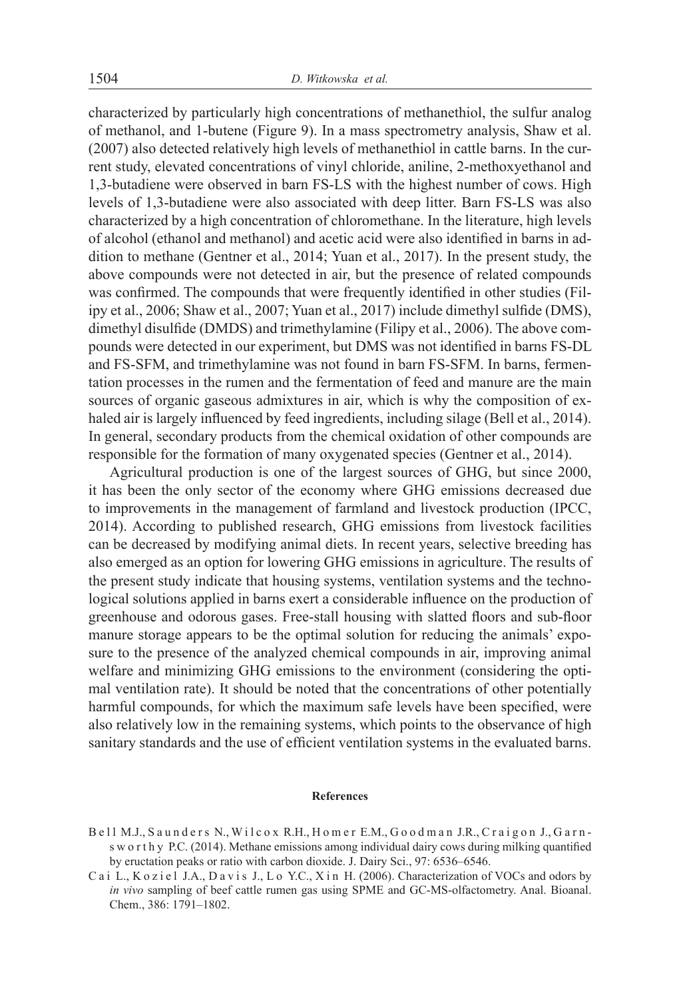characterized by particularly high concentrations of methanethiol, the sulfur analog of methanol, and 1-butene (Figure 9). In a mass spectrometry analysis, Shaw et al. (2007) also detected relatively high levels of methanethiol in cattle barns. In the current study, elevated concentrations of vinyl chloride, aniline, 2-methoxyethanol and 1,3-butadiene were observed in barn FS-LS with the highest number of cows. High levels of 1,3-butadiene were also associated with deep litter. Barn FS-LS was also characterized by a high concentration of chloromethane. In the literature, high levels of alcohol (ethanol and methanol) and acetic acid were also identified in barns in addition to methane (Gentner et al., 2014; Yuan et al., 2017). In the present study, the above compounds were not detected in air, but the presence of related compounds was confirmed. The compounds that were frequently identified in other studies (Filipy et al., 2006; Shaw et al., 2007; Yuan et al., 2017) include dimethyl sulfide (DMS), dimethyl disulfide (DMDS) and trimethylamine (Filipy et al., 2006). The above compounds were detected in our experiment, but DMS was not identified in barns FS-DL and FS-SFM, and trimethylamine was not found in barn FS-SFM. In barns, fermentation processes in the rumen and the fermentation of feed and manure are the main sources of organic gaseous admixtures in air, which is why the composition of exhaled air is largely influenced by feed ingredients, including silage (Bell et al., 2014). In general, secondary products from the chemical oxidation of other compounds are responsible for the formation of many oxygenated species (Gentner et al., 2014).

Agricultural production is one of the largest sources of GHG, but since 2000, it has been the only sector of the economy where GHG emissions decreased due to improvements in the management of farmland and livestock production (IPCC, 2014). According to published research, GHG emissions from livestock facilities can be decreased by modifying animal diets. In recent years, selective breeding has also emerged as an option for lowering GHG emissions in agriculture. The results of the present study indicate that housing systems, ventilation systems and the technological solutions applied in barns exert a considerable influence on the production of greenhouse and odorous gases. Free-stall housing with slatted floors and sub-floor manure storage appears to be the optimal solution for reducing the animals' exposure to the presence of the analyzed chemical compounds in air, improving animal welfare and minimizing GHG emissions to the environment (considering the optimal ventilation rate). It should be noted that the concentrations of other potentially harmful compounds, for which the maximum safe levels have been specified, were also relatively low in the remaining systems, which points to the observance of high sanitary standards and the use of efficient ventilation systems in the evaluated barns.

#### **References**

- B ell M.J., Saunders N., Wilcox R.H., Homer E.M., Goodman J.R., Craigon J., Garns w o r t h y P.C. (2014). Methane emissions among individual dairy cows during milking quantified by eructation peaks or ratio with carbon dioxide. J. Dairy Sci., 97: 6536–6546.
- C a i L., K o z i e l J.A., D a v i s J., L o Y.C., X in H. (2006). Characterization of VOCs and odors by *in vivo* sampling of beef cattle rumen gas using SPME and GC-MS-olfactometry. Anal. Bioanal. Chem., 386: 1791–1802.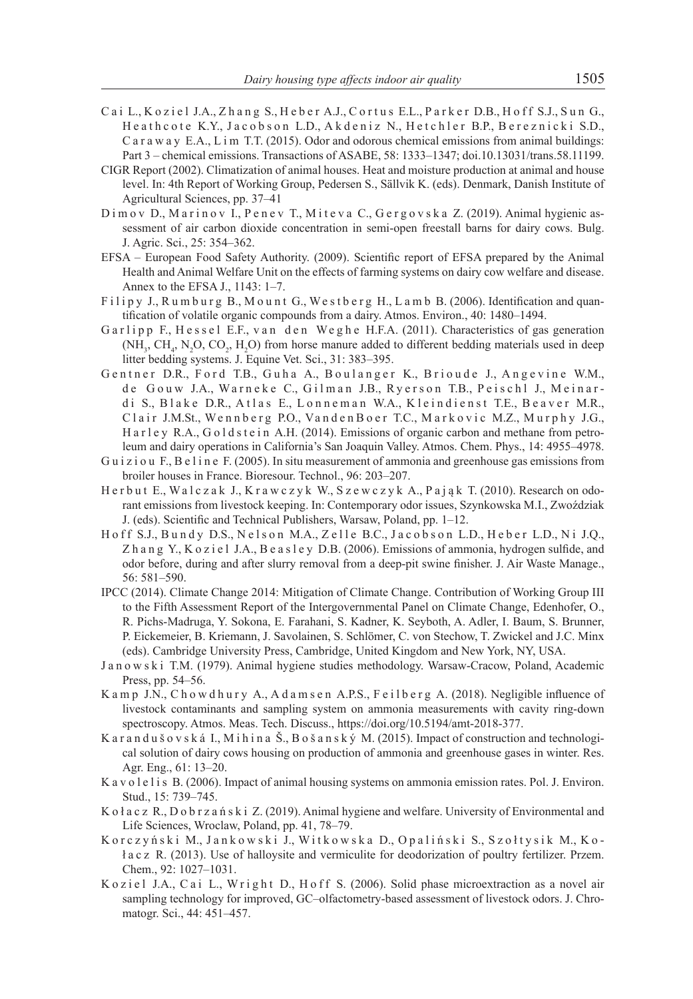- Cai L., Koziel J.A., Zhang S., Heber A.J., Cortus E.L., Parker D.B., Hoff S.J., Sun G., Heathcote K.Y., Jacobson L.D., Akdeniz N., Hetchler B.P., Bereznicki S.D., C a r a w a y E.A., L i m T.T. (2015). Odor and odorous chemical emissions from animal buildings: Part 3 – chemical emissions. Transactions of ASABE, 58: 1333–1347; doi.10.13031/trans.58.11199.
- CIGR Report (2002). Climatization of animal houses. Heat and moisture production at animal and house level. In: 4th Report of Working Group, Pedersen S., Sällvik K. (eds). Denmark, Danish Institute of Agricultural Sciences, pp. 37–41
- D i m o v D., M a r i n o v I., P e n e v T., M i t e v a C., G e r g o v s k a Z. (2019). Animal hygienic assessment of air carbon dioxide concentration in semi-open freestall barns for dairy cows. Bulg. J. Agric. Sci., 25: 354–362.
- EFSA European Food Safety Authority. (2009). Scientific report of EFSA prepared by the Animal Health and Animal Welfare Unit on the effects of farming systems on dairy cow welfare and disease. Annex to the EFSA J., 1143: 1–7.
- Filipy J., Rumburg B., Mount G., Westberg H., Lamb B. (2006). Identification and quantification of volatile organic compounds from a dairy. Atmos. Environ., 40: 1480–1494.
- Garlipp F., Hessel E.F., van den Weghe H.F.A. (2011). Characteristics of gas generation  $(MH<sub>3</sub>, CH<sub>4</sub>, N<sub>2</sub>O, CO<sub>2</sub>, H<sub>2</sub>O)$  from horse manure added to different bedding materials used in deep litter bedding systems. J. Equine Vet. Sci., 31: 383–395.
- Gentner D.R., Ford T.B., Guha A., Boulanger K., Brioude J., Angevine W.M., de Gouw J.A., Warneke C., Gilman J.B., Ryerson T.B., Peischl J., Meinardi S., Blake D.R., Atlas E., Lonneman W.A., Kleindienst T.E., Beaver M.R., Clair J.M.St., Wennberg P.O., Vanden Boer T.C., Markovic M.Z., Murphy J.G., H a r l e y R.A., G o l d s t e i n A.H. (2014). Emissions of organic carbon and methane from petroleum and dairy operations in California's San Joaquin Valley. Atmos. Chem. Phys., 14: 4955–4978.
- Guiziou F., Beline F. (2005). In situ measurement of ammonia and greenhouse gas emissions from broiler houses in France. Bioresour. Technol., 96: 203–207.
- H e r b u t E., Walczak J., K r a w c z y k W., S z e w c z y k A., P a j a k T. (2010). Research on odorant emissions from livestock keeping. In: Contemporary odor issues, Szynkowska M.I., Zwoździak J. (eds). Scientific and Technical Publishers, Warsaw, Poland, pp. 1–12.
- Hoff S.J., Bundy D.S., Nelson M.A., Zelle B.C., Jacobson L.D., Heber L.D., Ni J.Q., Z h a n g Y., K o z i e l J.A., B e a s l e y D.B. (2006). Emissions of ammonia, hydrogen sulfide, and odor before, during and after slurry removal from a deep-pit swine finisher. J. Air Waste Manage., 56: 581–590.
- IPCC (2014). Climate Change 2014: Mitigation of Climate Change. Contribution of Working Group III to the Fifth Assessment Report of the Intergovernmental Panel on Climate Change, Edenhofer, O., R. Pichs-Madruga, Y. Sokona, E. Farahani, S. Kadner, K. Seyboth, A. Adler, I. Baum, S. Brunner, P. Eickemeier, B. Kriemann, J. Savolainen, S. Schlömer, C. von Stechow, T. Zwickel and J.C. Minx (eds). Cambridge University Press, Cambridge, United Kingdom and New York, NY, USA.
- J a n o w s k i T.M. (1979). Animal hygiene studies methodology. Warsaw-Cracow, Poland, Academic Press, pp. 54–56.
- K a m p J.N., C h o w d h u r y A., A d a m s e n A.P.S., F e i l b e r g A. (2018). Negligible influence of livestock contaminants and sampling system on ammonia measurements with cavity ring-down spectroscopy. Atmos. Meas. Tech. Discuss., https://doi.org/10.5194/amt-2018-377.
- K a r a n d u š o v s k á I., M i h i n a Š., B o š a n s k ý M. (2015). Impact of construction and technological solution of dairy cows housing on production of ammonia and greenhouse gases in winter. Res. Agr. Eng., 61: 13–20.
- K a v o l e l i s B. (2006). Impact of animal housing systems on ammonia emission rates. Pol. J. Environ. Stud., 15: 739–745.
- K o ł a c z R., D o b r z a ń s k i Z. (2019). Animal hygiene and welfare. University of Environmental and Life Sciences, Wroclaw, Poland, pp. 41, 78–79.
- K orczyński M., Jankowski J., Witkowska D., Opaliński S., Szołtysik M., Koł a c z R. (2013). Use of halloysite and vermiculite for deodorization of poultry fertilizer. Przem. Chem., 92: 1027–1031.
- K o z i e l J.A., C a i L., W r i g h t D., H o f f S. (2006). Solid phase microextraction as a novel air sampling technology for improved, GC–olfactometry-based assessment of livestock odors. J. Chromatogr. Sci., 44: 451–457.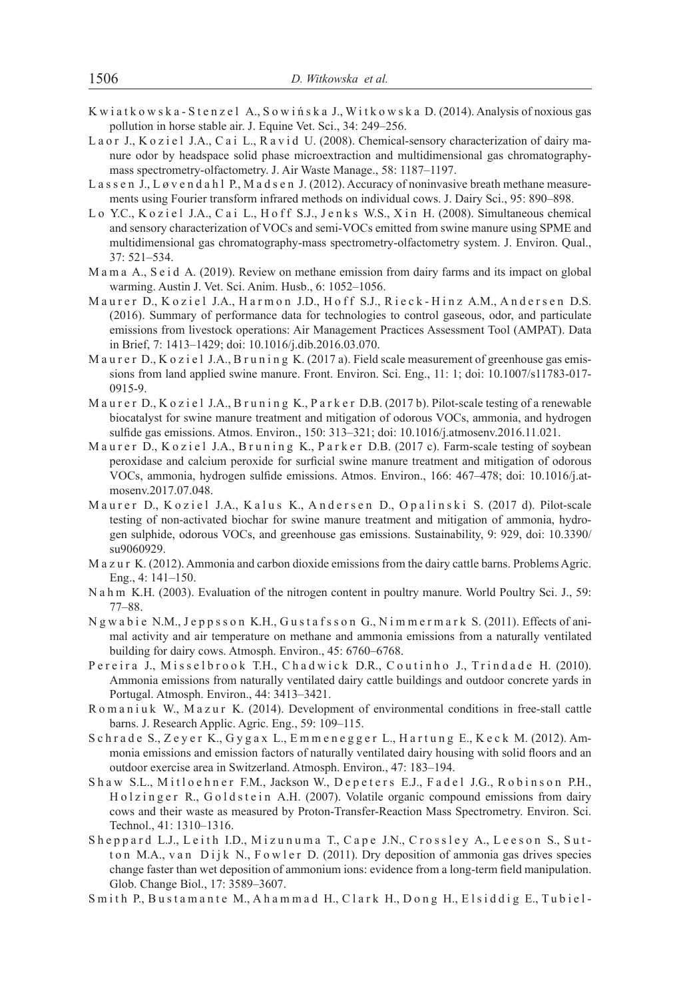- K w i a t k o w s k a S t e n z e l A., S o w i ń s k a J., W i t k o w s k a D. (2014). Analysis of noxious gas pollution in horse stable air. J. Equine Vet. Sci., 34: 249–256.
- La or J., K o z i e l J.A., C a i L., R a v i d U. (2008). Chemical-sensory characterization of dairy manure odor by headspace solid phase microextraction and multidimensional gas chromatographymass spectrometry-olfactometry. J. Air Waste Manage., 58: 1187–1197.
- L a s s e n J., L ø v e n d a h l P., M a d s e n J. (2012). Accuracy of noninvasive breath methane measurements using Fourier transform infrared methods on individual cows. J. Dairy Sci., 95: 890–898.
- Lo Y.C., Koziel J.A., Cai L., Hoff S.J., Jenks W.S., Xin H. (2008). Simultaneous chemical and sensory characterization of VOCs and semi-VOCs emitted from swine manure using SPME and multidimensional gas chromatography-mass spectrometry-olfactometry system. J. Environ. Qual., 37: 521–534.
- M a m a A., S e i d A. (2019). Review on methane emission from dairy farms and its impact on global warming. Austin J. Vet. Sci. Anim. Husb., 6: 1052–1056.
- Maurer D., Koziel J.A., Harmon J.D., Hoff S.J., Rieck-Hinz A.M., Andersen D.S. (2016). Summary of performance data for technologies to control gaseous, odor, and particulate emissions from livestock operations: Air Management Practices Assessment Tool (AMPAT). Data in Brief, 7: 1413–1429; doi: 10.1016/j.dib.2016.03.070.
- M a u r e r D., K o z i e l J.A., B r u n i n g K. (2017 a). Field scale measurement of greenhouse gas emissions from land applied swine manure. Front. Environ. Sci. Eng., 11: 1; doi: 10.1007/s11783-017- 0915-9.
- Maurer D., Koziel J.A., Bruning K., Parker D.B. (2017b). Pilot-scale testing of a renewable biocatalyst for swine manure treatment and mitigation of odorous VOCs, ammonia, and hydrogen sulfide gas emissions. Atmos. Environ., 150: 313–321; doi: 10.1016/j.atmosenv.2016.11.021.
- Maurer D., Koziel J.A., Bruning K., Parker D.B. (2017 c). Farm-scale testing of soybean peroxidase and calcium peroxide for surficial swine manure treatment and mitigation of odorous VOCs, ammonia, hydrogen sulfide emissions. Atmos. Environ., 166: 467–478; doi: 10.1016/j.atmosenv.2017.07.048.
- Maurer D., Koziel J.A., Kalus K., Andersen D., Opalinski S. (2017 d). Pilot-scale testing of non-activated biochar for swine manure treatment and mitigation of ammonia, hydrogen sulphide, odorous VOCs, and greenhouse gas emissions. Sustainability, 9: 929, doi: 10.3390/ su9060929.
- M a z u r K. (2012). Ammonia and carbon dioxide emissions from the dairy cattle barns. Problems Agric. Eng., 4: 141–150.
- N a h m K.H. (2003). Evaluation of the nitrogen content in poultry manure. World Poultry Sci. J., 59: 77–88.
- N g w a b i e N.M., J e p p s s o n K.H., G u s t a f s s o n G., N i m m e r m a r k S. (2011). Effects of animal activity and air temperature on methane and ammonia emissions from a naturally ventilated building for dairy cows. Atmosph. Environ., 45: 6760–6768.
- P e r e i r a J., M i s s e l b r o o k T.H., C h a d w i c k D.R., C o u t in h o J., T r in d a d e H. (2010). Ammonia emissions from naturally ventilated dairy cattle buildings and outdoor concrete yards in Portugal. Atmosph. Environ., 44: 3413–3421.
- R o m a n i u k W., M a z u r K. (2014). Development of environmental conditions in free-stall cattle barns. J. Research Applic. Agric. Eng., 59: 109–115.
- S chrade S., Zeyer K., Gygax L., Emmenegger L., Hartung E., Keck M. (2012). Ammonia emissions and emission factors of naturally ventilated dairy housing with solid floors and an outdoor exercise area in Switzerland. Atmosph. Environ., 47: 183–194.
- Shaw S.L., Mitloehner F.M., Jackson W., Depeters E.J., Fadel J.G., Robinson P.H., Holzinger R., Goldstein A.H. (2007). Volatile organic compound emissions from dairy cows and their waste as measured by Proton-Transfer-Reaction Mass Spectrometry. Environ. Sci. Technol., 41: 1310–1316.
- Sheppard L.J., Leith I.D., Mizunuma T., Cape J.N., Crossley A., Leeson S., Sutt on M.A., v an Dijk N., F owler D. (2011). Dry deposition of ammonia gas drives species change faster than wet deposition of ammonium ions: evidence from a long-term field manipulation. Glob. Change Biol., 17: 3589–3607.
- Smith P., Bustamante M., Ahammad H., Clark H., Dong H., Elsiddig E., Tubiel-